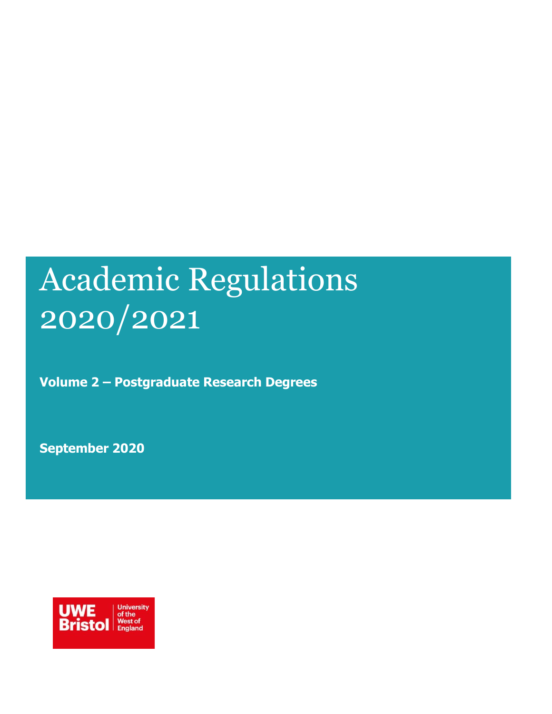# Academic Regulations 2020/2021

**Volume 2 – Postgraduate Research Degrees**

**September 2020**

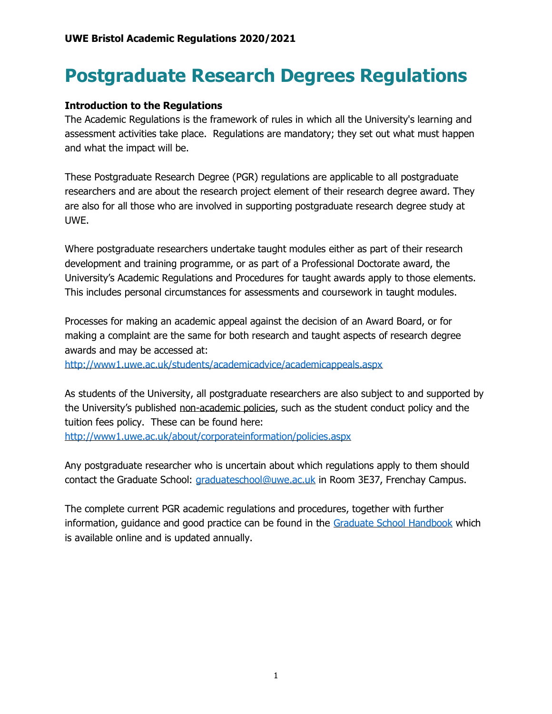# **Postgraduate Research Degrees Regulations**

### **Introduction to the Regulations**

The Academic Regulations is the framework of rules in which all the University's learning and assessment activities take place. Regulations are mandatory; they set out what must happen and what the impact will be.

These Postgraduate Research Degree (PGR) regulations are applicable to all postgraduate researchers and are about the research project element of their research degree award. They are also for all those who are involved in supporting postgraduate research degree study at UWE.

Where postgraduate researchers undertake taught modules either as part of their research development and training programme, or as part of a Professional Doctorate award, the University's Academic Regulations and Procedures for taught awards apply to those elements. This includes personal circumstances for assessments and coursework in taught modules.

Processes for making an academic appeal against the decision of an Award Board, or for making a complaint are the same for both research and taught aspects of research degree awards and may be accessed at:

<http://www1.uwe.ac.uk/students/academicadvice/academicappeals.aspx>

As students of the University, all postgraduate researchers are also subject to and supported by the University's published non-academic policies, such as the student conduct policy and the tuition fees policy. These can be found here: <http://www1.uwe.ac.uk/about/corporateinformation/policies.aspx>

Any postgraduate researcher who is uncertain about which regulations apply to them should contact the Graduate School: [graduateschool@uwe.ac.uk](mailto:graduateschool@uwe.ac.uk) in Room 3E37, Frenchay Campus.

The complete current PGR academic regulations and procedures, together with further information, guidance and good practice can be found in the [Graduate School Handbook](https://www1.uwe.ac.uk/research/postgraduateresearchstudy/currentpgresearchers/graduateschoolhandbook.aspx) which is available online and is updated annually.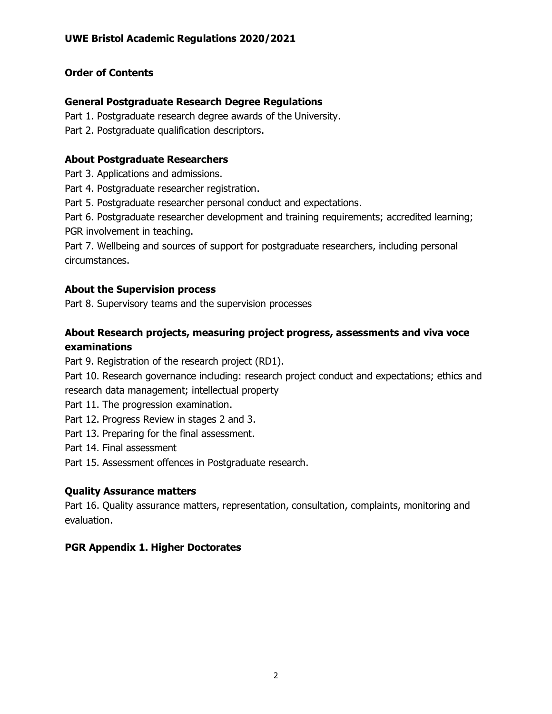# **Order of Contents**

### **General Postgraduate Research Degree Regulations**

- Part 1. Postgraduate research degree awards of the University.
- Part 2. Postgraduate qualification descriptors.

### **About Postgraduate Researchers**

- Part 3. Applications and admissions.
- Part 4. Postgraduate researcher registration.
- Part 5. Postgraduate researcher personal conduct and expectations.
- Part 6. Postgraduate researcher development and training requirements; accredited learning; PGR involvement in teaching.

Part 7. Wellbeing and sources of support for postgraduate researchers, including personal circumstances.

### **About the Supervision process**

Part 8. Supervisory teams and the supervision processes

# **About Research projects, measuring project progress, assessments and viva voce examinations**

Part 9. Registration of the research project (RD1).

Part 10. Research governance including: research project conduct and expectations; ethics and research data management; intellectual property

- Part 11. The progression examination.
- Part 12. Progress Review in stages 2 and 3.
- Part 13. Preparing for the final assessment.
- Part 14. Final assessment
- Part 15. Assessment offences in Postgraduate research.

### **Quality Assurance matters**

Part 16. Quality assurance matters, representation, consultation, complaints, monitoring and evaluation.

# **PGR Appendix 1. Higher Doctorates**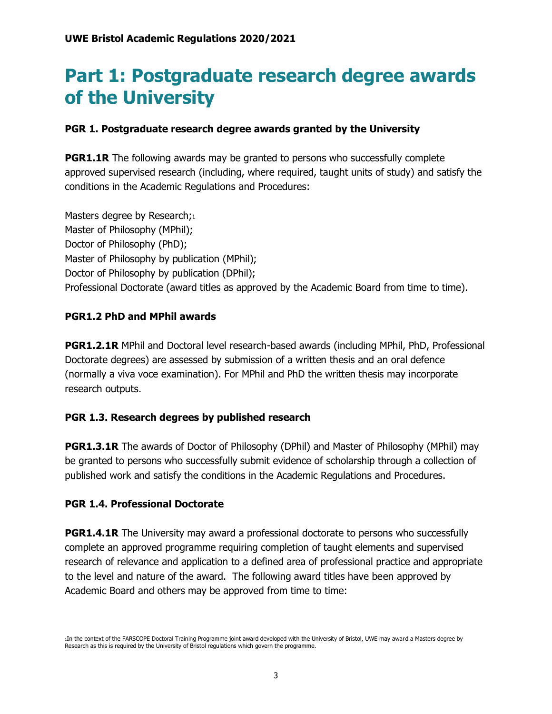# **Part 1: Postgraduate research degree awards of the University**

### **PGR 1. Postgraduate research degree awards granted by the University**

**PGR1.1R** The following awards may be granted to persons who successfully complete approved supervised research (including, where required, taught units of study) and satisfy the conditions in the Academic Regulations and Procedures:

Masters degree by Research;1 Master of Philosophy (MPhil); Doctor of Philosophy (PhD); Master of Philosophy by publication (MPhil); Doctor of Philosophy by publication (DPhil); Professional Doctorate (award titles as approved by the Academic Board from time to time).

### **PGR1.2 PhD and MPhil awards**

**PGR1.2.1R** MPhil and Doctoral level research-based awards (including MPhil, PhD, Professional Doctorate degrees) are assessed by submission of a written thesis and an oral defence (normally a viva voce examination). For MPhil and PhD the written thesis may incorporate research outputs.

### **PGR 1.3. Research degrees by published research**

**PGR1.3.1R** The awards of Doctor of Philosophy (DPhil) and Master of Philosophy (MPhil) may be granted to persons who successfully submit evidence of scholarship through a collection of published work and satisfy the conditions in the Academic Regulations and Procedures.

### **PGR 1.4. Professional Doctorate**

**PGR1.4.1R** The University may award a professional doctorate to persons who successfully complete an approved programme requiring completion of taught elements and supervised research of relevance and application to a defined area of professional practice and appropriate to the level and nature of the award. The following award titles have been approved by Academic Board and others may be approved from time to time:

<sup>1</sup>In the context of the FARSCOPE Doctoral Training Programme joint award developed with the University of Bristol, UWE may award a Masters degree by Research as this is required by the University of Bristol regulations which govern the programme.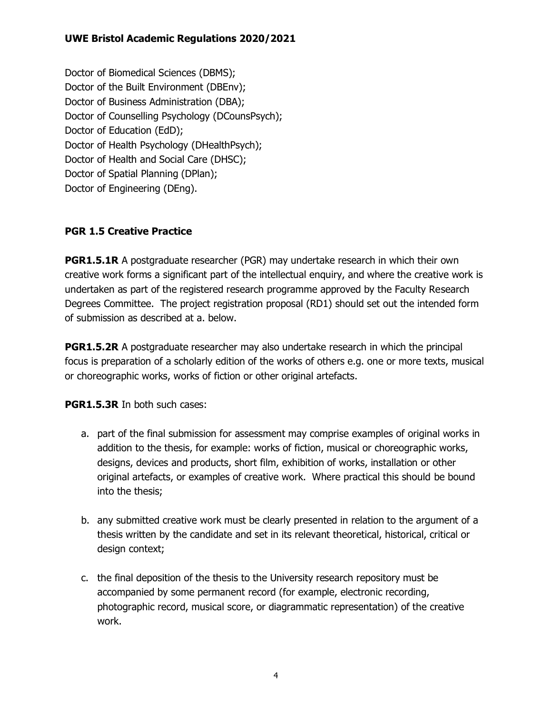Doctor of Biomedical Sciences (DBMS); Doctor of the Built Environment (DBEnv); Doctor of Business Administration (DBA); Doctor of Counselling Psychology (DCounsPsych); Doctor of Education (EdD); Doctor of Health Psychology (DHealthPsych); Doctor of Health and Social Care (DHSC); Doctor of Spatial Planning (DPlan); Doctor of Engineering (DEng).

### **PGR 1.5 Creative Practice**

**PGR1.5.1R** A postgraduate researcher (PGR) may undertake research in which their own creative work forms a significant part of the intellectual enquiry, and where the creative work is undertaken as part of the registered research programme approved by the Faculty Research Degrees Committee. The project registration proposal (RD1) should set out the intended form of submission as described at a. below.

**PGR1.5.2R** A postgraduate researcher may also undertake research in which the principal focus is preparation of a scholarly edition of the works of others e.g. one or more texts, musical or choreographic works, works of fiction or other original artefacts.

**PGR1.5.3R** In both such cases:

- a. part of the final submission for assessment may comprise examples of original works in addition to the thesis, for example: works of fiction, musical or choreographic works, designs, devices and products, short film, exhibition of works, installation or other original artefacts, or examples of creative work. Where practical this should be bound into the thesis;
- b. any submitted creative work must be clearly presented in relation to the argument of a thesis written by the candidate and set in its relevant theoretical, historical, critical or design context;
- c. the final deposition of the thesis to the University research repository must be accompanied by some permanent record (for example, electronic recording, photographic record, musical score, or diagrammatic representation) of the creative work.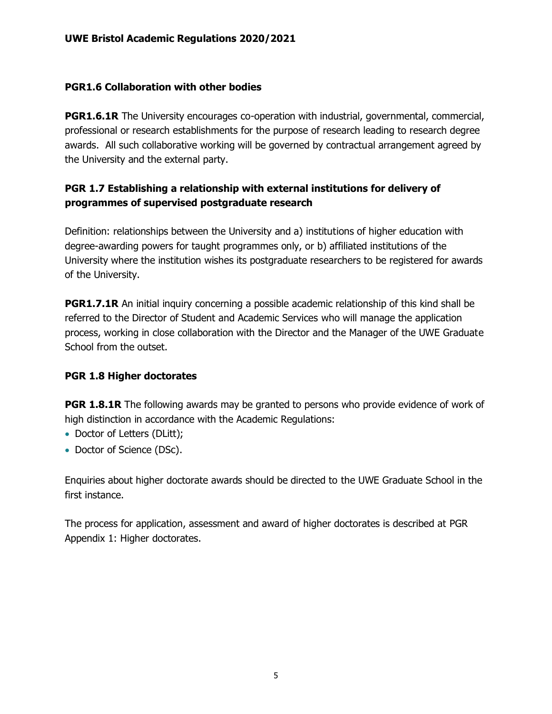### **PGR1.6 Collaboration with other bodies**

**PGR1.6.1R** The University encourages co-operation with industrial, governmental, commercial, professional or research establishments for the purpose of research leading to research degree awards. All such collaborative working will be governed by contractual arrangement agreed by the University and the external party.

# **PGR 1.7 Establishing a relationship with external institutions for delivery of programmes of supervised postgraduate research**

Definition: relationships between the University and a) institutions of higher education with degree-awarding powers for taught programmes only, or b) affiliated institutions of the University where the institution wishes its postgraduate researchers to be registered for awards of the University.

**PGR1.7.1R** An initial inquiry concerning a possible academic relationship of this kind shall be referred to the Director of Student and Academic Services who will manage the application process, working in close collaboration with the Director and the Manager of the UWE Graduate School from the outset.

# **PGR 1.8 Higher doctorates**

**PGR 1.8.1R** The following awards may be granted to persons who provide evidence of work of high distinction in accordance with the Academic Regulations:

- Doctor of Letters (DLitt);
- Doctor of Science (DSc).

Enquiries about higher doctorate awards should be directed to the UWE Graduate School in the first instance.

The process for application, assessment and award of higher doctorates is described at PGR Appendix 1: Higher doctorates.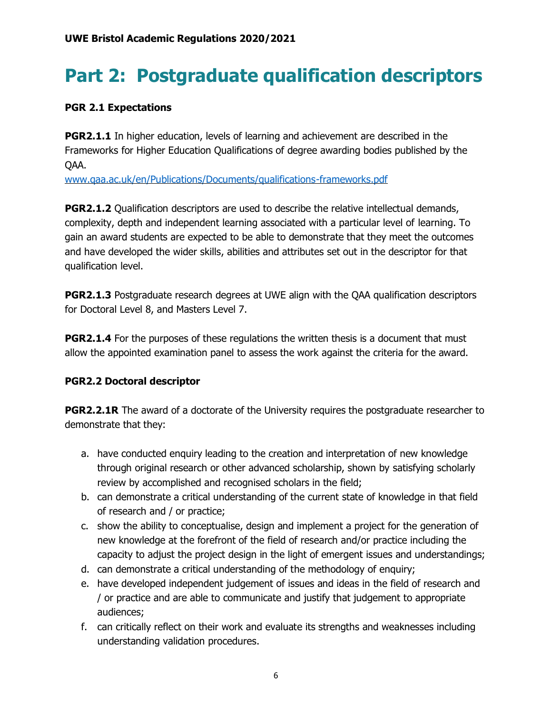# **Part 2: Postgraduate qualification descriptors**

### **PGR 2.1 Expectations**

**PGR2.1.1** In higher education, levels of learning and achievement are described in the Frameworks for Higher Education Qualifications of degree awarding bodies published by the QAA.

[www.qaa.ac.uk/en/Publications/Documents/qualifications-frameworks.pdf](http://www.qaa.ac.uk/en/Publications/Documents/qualifications-frameworks.pdf)

**PGR2.1.2** Qualification descriptors are used to describe the relative intellectual demands, complexity, depth and independent learning associated with a particular level of learning. To gain an award students are expected to be able to demonstrate that they meet the outcomes and have developed the wider skills, abilities and attributes set out in the descriptor for that qualification level.

**PGR2.1.3** Postgraduate research degrees at UWE align with the OAA qualification descriptors for Doctoral Level 8, and Masters Level 7.

**PGR2.1.4** For the purposes of these regulations the written thesis is a document that must allow the appointed examination panel to assess the work against the criteria for the award.

# **PGR2.2 Doctoral descriptor**

**PGR2.2.1R** The award of a doctorate of the University requires the postgraduate researcher to demonstrate that they:

- a. have conducted enquiry leading to the creation and interpretation of new knowledge through original research or other advanced scholarship, shown by satisfying scholarly review by accomplished and recognised scholars in the field;
- b. can demonstrate a critical understanding of the current state of knowledge in that field of research and / or practice;
- c. show the ability to conceptualise, design and implement a project for the generation of new knowledge at the forefront of the field of research and/or practice including the capacity to adjust the project design in the light of emergent issues and understandings;
- d. can demonstrate a critical understanding of the methodology of enquiry;
- e. have developed independent judgement of issues and ideas in the field of research and / or practice and are able to communicate and justify that judgement to appropriate audiences;
- f. can critically reflect on their work and evaluate its strengths and weaknesses including understanding validation procedures.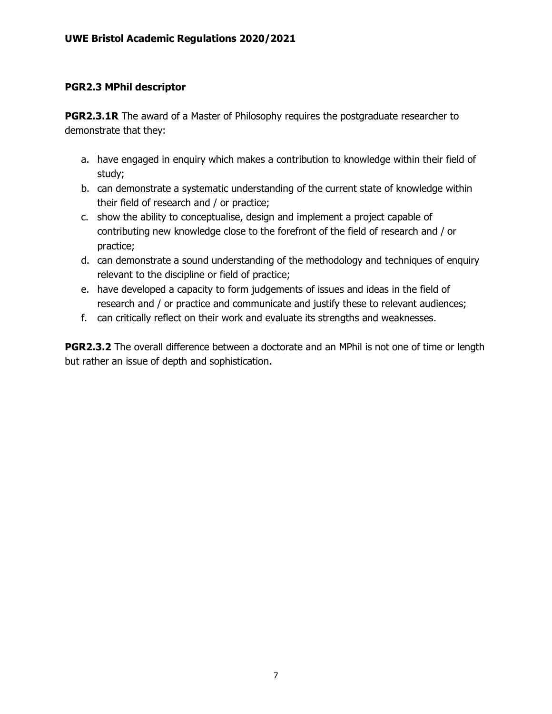### **PGR2.3 MPhil descriptor**

**PGR2.3.1R** The award of a Master of Philosophy requires the postgraduate researcher to demonstrate that they:

- a. have engaged in enquiry which makes a contribution to knowledge within their field of study;
- b. can demonstrate a systematic understanding of the current state of knowledge within their field of research and / or practice;
- c. show the ability to conceptualise, design and implement a project capable of contributing new knowledge close to the forefront of the field of research and / or practice;
- d. can demonstrate a sound understanding of the methodology and techniques of enquiry relevant to the discipline or field of practice;
- e. have developed a capacity to form judgements of issues and ideas in the field of research and / or practice and communicate and justify these to relevant audiences;
- f. can critically reflect on their work and evaluate its strengths and weaknesses.

**PGR2.3.2** The overall difference between a doctorate and an MPhil is not one of time or length but rather an issue of depth and sophistication.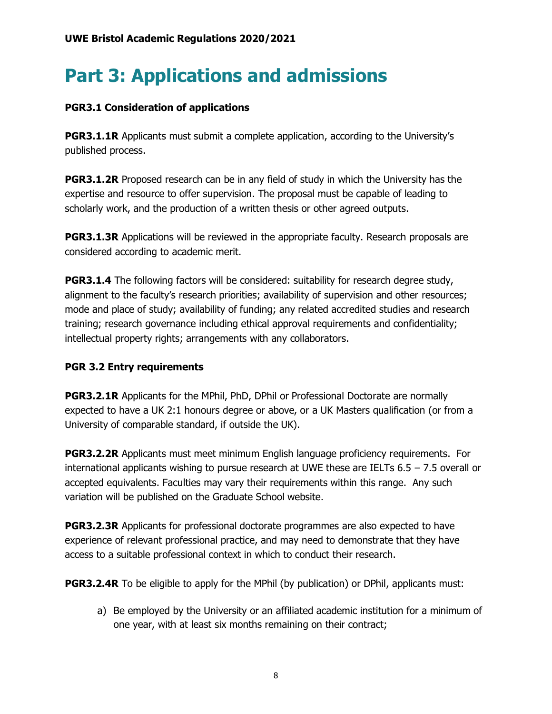# **Part 3: Applications and admissions**

### **PGR3.1 Consideration of applications**

**PGR3.1.1R** Applicants must submit a complete application, according to the University's published process.

**PGR3.1.2R** Proposed research can be in any field of study in which the University has the expertise and resource to offer supervision. The proposal must be capable of leading to scholarly work, and the production of a written thesis or other agreed outputs.

**PGR3.1.3R** Applications will be reviewed in the appropriate faculty. Research proposals are considered according to academic merit.

**PGR3.1.4** The following factors will be considered: suitability for research degree study, alignment to the faculty's research priorities; availability of supervision and other resources; mode and place of study; availability of funding; any related accredited studies and research training; research governance including ethical approval requirements and confidentiality; intellectual property rights; arrangements with any collaborators.

### **PGR 3.2 Entry requirements**

**PGR3.2.1R** Applicants for the MPhil, PhD, DPhil or Professional Doctorate are normally expected to have a UK 2:1 honours degree or above, or a UK Masters qualification (or from a University of comparable standard, if outside the UK).

**PGR3.2.2R** Applicants must meet minimum English language proficiency requirements. For international applicants wishing to pursue research at UWE these are IELTs 6.5 – 7.5 overall or accepted equivalents. Faculties may vary their requirements within this range. Any such variation will be published on the Graduate School website.

**PGR3.2.3R** Applicants for professional doctorate programmes are also expected to have experience of relevant professional practice, and may need to demonstrate that they have access to a suitable professional context in which to conduct their research.

**PGR3.2.4R** To be eligible to apply for the MPhil (by publication) or DPhil, applicants must:

a) Be employed by the University or an affiliated academic institution for a minimum of one year, with at least six months remaining on their contract;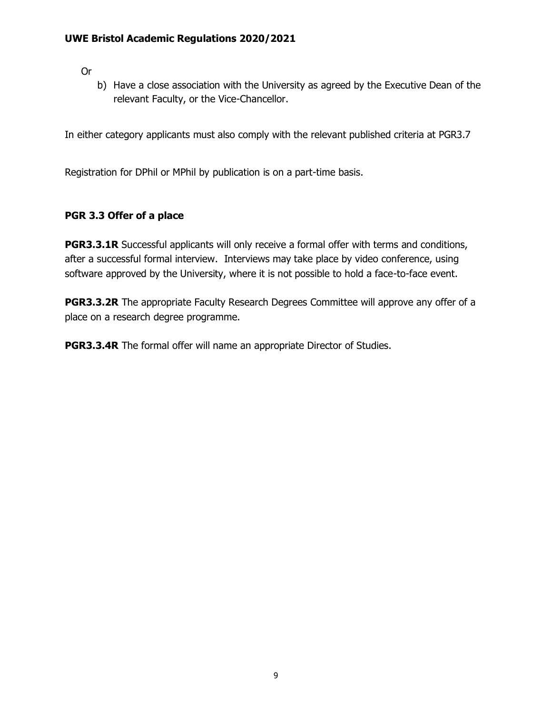Or

b) Have a close association with the University as agreed by the Executive Dean of the relevant Faculty, or the Vice-Chancellor.

In either category applicants must also comply with the relevant published criteria at PGR3.7

Registration for DPhil or MPhil by publication is on a part-time basis.

### **PGR 3.3 Offer of a place**

**PGR3.3.1R** Successful applicants will only receive a formal offer with terms and conditions, after a successful formal interview. Interviews may take place by video conference, using software approved by the University, where it is not possible to hold a face-to-face event.

**PGR3.3.2R** The appropriate Faculty Research Degrees Committee will approve any offer of a place on a research degree programme.

**PGR3.3.4R** The formal offer will name an appropriate Director of Studies.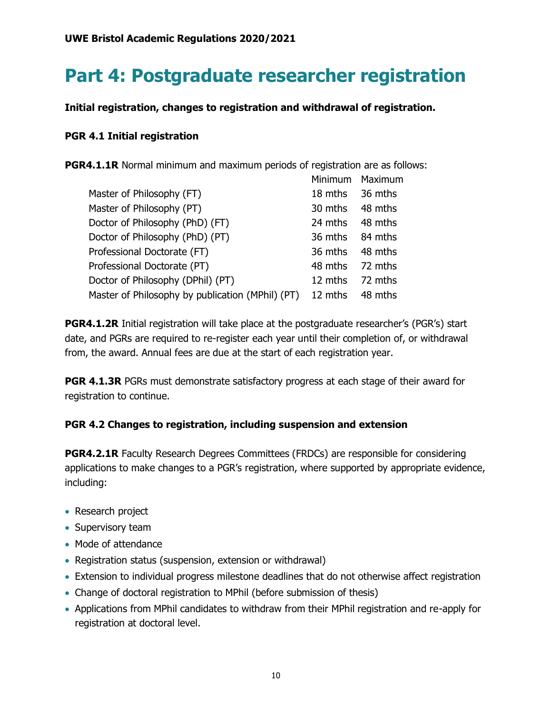# **Part 4: Postgraduate researcher registration**

**Initial registration, changes to registration and withdrawal of registration.**

### **PGR 4.1 Initial registration**

**PGR4.1.1R** Normal minimum and maximum periods of registration are as follows:

|                                                  | Minimum | Maximum |
|--------------------------------------------------|---------|---------|
| Master of Philosophy (FT)                        | 18 mths | 36 mths |
| Master of Philosophy (PT)                        | 30 mths | 48 mths |
| Doctor of Philosophy (PhD) (FT)                  | 24 mths | 48 mths |
| Doctor of Philosophy (PhD) (PT)                  | 36 mths | 84 mths |
| Professional Doctorate (FT)                      | 36 mths | 48 mths |
| Professional Doctorate (PT)                      | 48 mths | 72 mths |
| Doctor of Philosophy (DPhil) (PT)                | 12 mths | 72 mths |
| Master of Philosophy by publication (MPhil) (PT) | 12 mths | 48 mths |

**PGR4.1.2R** Initial registration will take place at the postgraduate researcher's (PGR's) start date, and PGRs are required to re-register each year until their completion of, or withdrawal from, the award. Annual fees are due at the start of each registration year.

**PGR 4.1.3R** PGRs must demonstrate satisfactory progress at each stage of their award for registration to continue.

# **PGR 4.2 Changes to registration, including suspension and extension**

**PGR4.2.1R** Faculty Research Degrees Committees (FRDCs) are responsible for considering applications to make changes to a PGR's registration, where supported by appropriate evidence, including:

- Research project
- Supervisory team
- Mode of attendance
- Registration status (suspension, extension or withdrawal)
- Extension to individual progress milestone deadlines that do not otherwise affect registration
- Change of doctoral registration to MPhil (before submission of thesis)
- Applications from MPhil candidates to withdraw from their MPhil registration and re-apply for registration at doctoral level.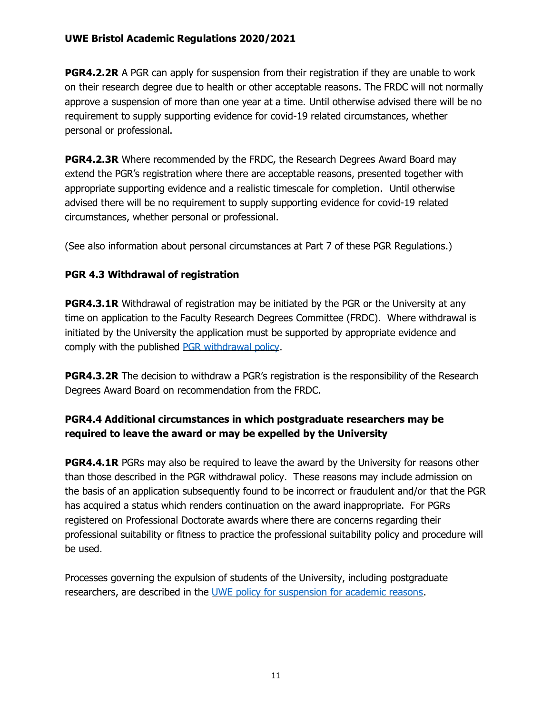**PGR4.2.2R** A PGR can apply for suspension from their registration if they are unable to work on their research degree due to health or other acceptable reasons. The FRDC will not normally approve a suspension of more than one year at a time. Until otherwise advised there will be no requirement to supply supporting evidence for covid-19 related circumstances, whether personal or professional.

**PGR4.2.3R** Where recommended by the FRDC, the Research Degrees Award Board may extend the PGR's registration where there are acceptable reasons, presented together with appropriate supporting evidence and a realistic timescale for completion. Until otherwise advised there will be no requirement to supply supporting evidence for covid-19 related circumstances, whether personal or professional.

(See also information about personal circumstances at Part 7 of these PGR Regulations.)

# **PGR 4.3 Withdrawal of registration**

**PGR4.3.1R** Withdrawal of registration may be initiated by the PGR or the University at any time on application to the Faculty Research Degrees Committee (FRDC). Where withdrawal is initiated by the University the application must be supported by appropriate evidence and comply with the published [PGR withdrawal policy.](https://www2.uwe.ac.uk/services/Marketing/research/pdf/graduate-school/Withdrawal_Policy_and_Guidance_Notes.pdf)

**PGR4.3.2R** The decision to withdraw a PGR's registration is the responsibility of the Research Degrees Award Board on recommendation from the FRDC.

# **PGR4.4 Additional circumstances in which postgraduate researchers may be required to leave the award or may be expelled by the University**

**PGR4.4.1R** PGRs may also be required to leave the award by the University for reasons other than those described in the PGR withdrawal policy. These reasons may include admission on the basis of an application subsequently found to be incorrect or fraudulent and/or that the PGR has acquired a status which renders continuation on the award inappropriate. For PGRs registered on Professional Doctorate awards where there are concerns regarding their professional suitability or fitness to practice the professional suitability policy and procedure will be used.

Processes governing the expulsion of students of the University, including postgraduate researchers, are described in the [UWE policy for suspension for academic reasons.](https://www1.uwe.ac.uk/about/departmentsandservices/professionalservices/studentandacademicservices/regulationspoliciesquality/regulationsandprocedures/suspensionforacademicreason.aspx)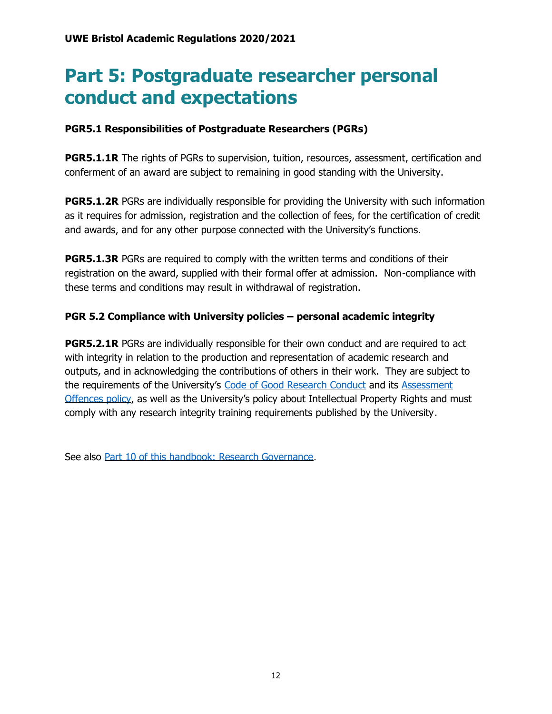# **Part 5: Postgraduate researcher personal conduct and expectations**

### **PGR5.1 Responsibilities of Postgraduate Researchers (PGRs)**

**PGR5.1.1R** The rights of PGRs to supervision, tuition, resources, assessment, certification and conferment of an award are subject to remaining in good standing with the University.

**PGR5.1.2R** PGRs are individually responsible for providing the University with such information as it requires for admission, registration and the collection of fees, for the certification of credit and awards, and for any other purpose connected with the University's functions.

**PGR5.1.3R** PGRs are required to comply with the written terms and conditions of their registration on the award, supplied with their formal offer at admission. Non-compliance with these terms and conditions may result in withdrawal of registration.

### **PGR 5.2 Compliance with University policies – personal academic integrity**

**PGR5.2.1R** PGRs are individually responsible for their own conduct and are required to act with integrity in relation to the production and representation of academic research and outputs, and in acknowledging the contributions of others in their work. They are subject to the requirements of the University's [Code of Good Research Conduct](http://www1.uwe.ac.uk/research/researchgovernance.aspx) and its [Assessment](http://www1.uwe.ac.uk/students/academicadvice/assessments/assessmentoffences.aspx)  [Offences policy](http://www1.uwe.ac.uk/students/academicadvice/assessments/assessmentoffences.aspx), as well as the University's policy about Intellectual Property Rights and must comply with any research integrity training requirements published by the University.

See also [Part 10 of this handbook: Research Governance.](https://www1.uwe.ac.uk/research/postgraduateresearchstudy/currentpgresearchers/graduateschoolhandbook/part10-researchgovernance.aspx)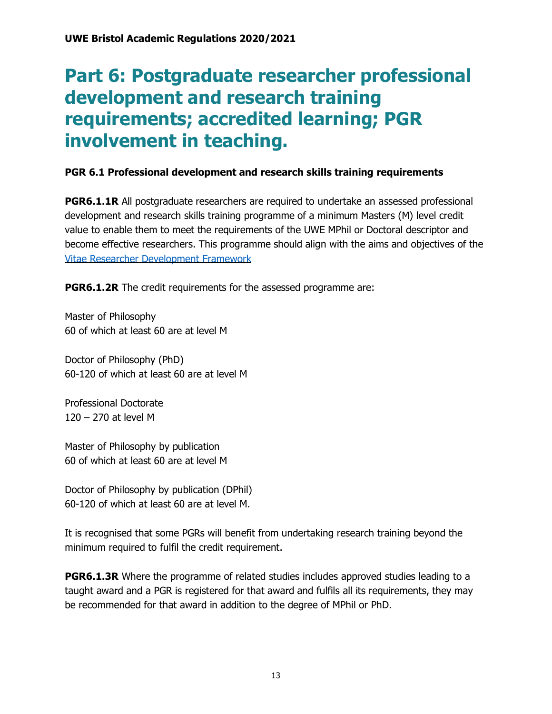# **Part 6: Postgraduate researcher professional development and research training requirements; accredited learning; PGR involvement in teaching.**

# **PGR 6.1 Professional development and research skills training requirements**

**PGR6.1.1R** All postgraduate researchers are required to undertake an assessed professional development and research skills training programme of a minimum Masters (M) level credit value to enable them to meet the requirements of the UWE MPhil or Doctoral descriptor and become effective researchers. This programme should align with the aims and objectives of the [Vitae Researcher Development Framework](https://www.vitae.ac.uk/researchers-professional-development/about-the-vitae-researcher-development-framework)

**PGR6.1.2R** The credit requirements for the assessed programme are:

Master of Philosophy 60 of which at least 60 are at level M

Doctor of Philosophy (PhD) 60-120 of which at least 60 are at level M

Professional Doctorate 120 – 270 at level M

Master of Philosophy by publication 60 of which at least 60 are at level M

Doctor of Philosophy by publication (DPhil) 60-120 of which at least 60 are at level M.

It is recognised that some PGRs will benefit from undertaking research training beyond the minimum required to fulfil the credit requirement.

**PGR6.1.3R** Where the programme of related studies includes approved studies leading to a taught award and a PGR is registered for that award and fulfils all its requirements, they may be recommended for that award in addition to the degree of MPhil or PhD.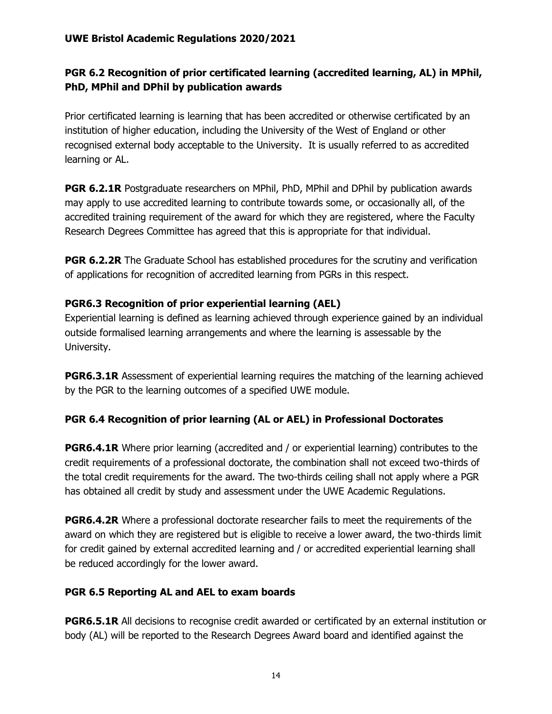# **PGR 6.2 Recognition of prior certificated learning (accredited learning, AL) in MPhil, PhD, MPhil and DPhil by publication awards**

Prior certificated learning is learning that has been accredited or otherwise certificated by an institution of higher education, including the University of the West of England or other recognised external body acceptable to the University. It is usually referred to as accredited learning or AL.

**PGR 6.2.1R** Postgraduate researchers on MPhil, PhD, MPhil and DPhil by publication awards may apply to use accredited learning to contribute towards some, or occasionally all, of the accredited training requirement of the award for which they are registered, where the Faculty Research Degrees Committee has agreed that this is appropriate for that individual.

**PGR 6.2.2R** The Graduate School has established procedures for the scrutiny and verification of applications for recognition of accredited learning from PGRs in this respect.

### **PGR6.3 Recognition of prior experiential learning (AEL)**

Experiential learning is defined as learning achieved through experience gained by an individual outside formalised learning arrangements and where the learning is assessable by the University.

**PGR6.3.1R** Assessment of experiential learning requires the matching of the learning achieved by the PGR to the learning outcomes of a specified UWE module.

# **PGR 6.4 Recognition of prior learning (AL or AEL) in Professional Doctorates**

**PGR6.4.1R** Where prior learning (accredited and / or experiential learning) contributes to the credit requirements of a professional doctorate, the combination shall not exceed two-thirds of the total credit requirements for the award. The two-thirds ceiling shall not apply where a PGR has obtained all credit by study and assessment under the UWE Academic Regulations.

**PGR6.4.2R** Where a professional doctorate researcher fails to meet the requirements of the award on which they are registered but is eligible to receive a lower award, the two-thirds limit for credit gained by external accredited learning and / or accredited experiential learning shall be reduced accordingly for the lower award.

### **PGR 6.5 Reporting AL and AEL to exam boards**

**PGR6.5.1R** All decisions to recognise credit awarded or certificated by an external institution or body (AL) will be reported to the Research Degrees Award board and identified against the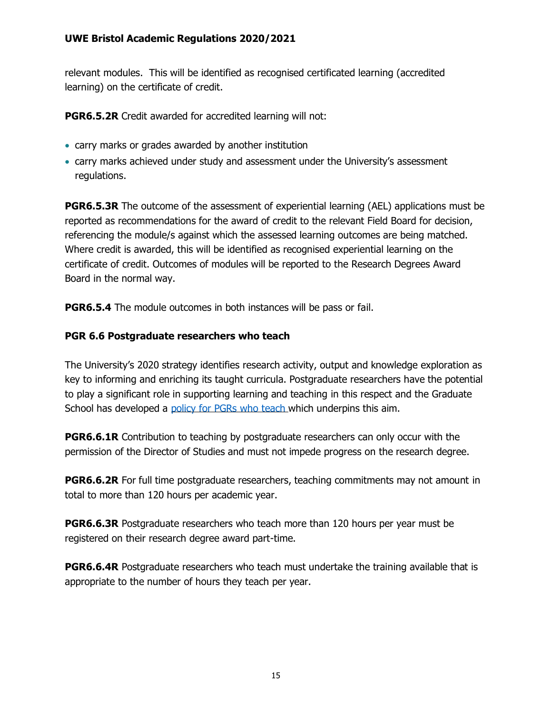relevant modules. This will be identified as recognised certificated learning (accredited learning) on the certificate of credit.

**PGR6.5.2R** Credit awarded for accredited learning will not:

- carry marks or grades awarded by another institution
- carry marks achieved under study and assessment under the University's assessment regulations.

**PGR6.5.3R** The outcome of the assessment of experiential learning (AEL) applications must be reported as recommendations for the award of credit to the relevant Field Board for decision, referencing the module/s against which the assessed learning outcomes are being matched. Where credit is awarded, this will be identified as recognised experiential learning on the certificate of credit. Outcomes of modules will be reported to the Research Degrees Award Board in the normal way.

**PGR6.5.4** The module outcomes in both instances will be pass or fail.

# **PGR 6.6 Postgraduate researchers who teach**

The University's 2020 strategy identifies research activity, output and knowledge exploration as key to informing and enriching its taught curricula. Postgraduate researchers have the potential to play a significant role in supporting learning and teaching in this respect and the Graduate School has developed a [policy for PGRs who teach w](http://www1.uwe.ac.uk/research/postgraduateresearchstudy/studysupport/guidanceandregulations.aspx)hich underpins this aim.

**PGR6.6.1R** Contribution to teaching by postgraduate researchers can only occur with the permission of the Director of Studies and must not impede progress on the research degree.

**PGR6.6.2R** For full time postgraduate researchers, teaching commitments may not amount in total to more than 120 hours per academic year.

**PGR6.6.3R** Postgraduate researchers who teach more than 120 hours per year must be registered on their research degree award part-time.

**PGR6.6.4R** Postgraduate researchers who teach must undertake the training available that is appropriate to the number of hours they teach per year.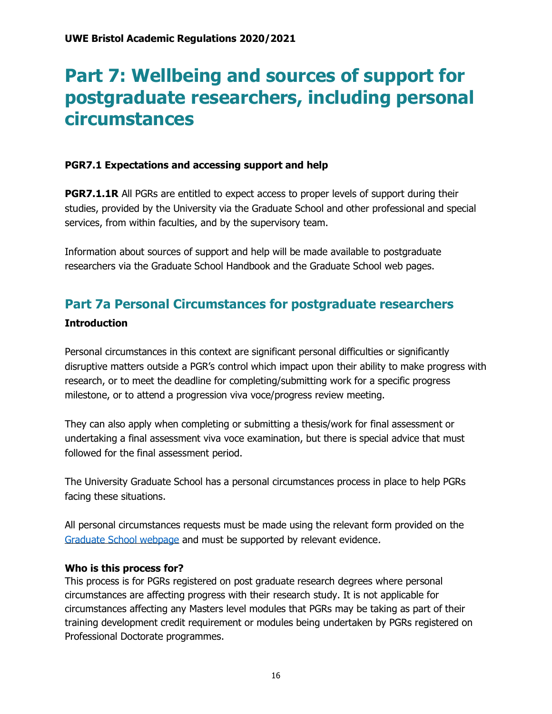# **Part 7: Wellbeing and sources of support for postgraduate researchers, including personal circumstances**

### **PGR7.1 Expectations and accessing support and help**

**PGR7.1.1R** All PGRs are entitled to expect access to proper levels of support during their studies, provided by the University via the Graduate School and other professional and special services, from within faculties, and by the supervisory team.

Information about sources of support and help will be made available to postgraduate researchers via the Graduate School Handbook and the Graduate School web pages.

# **Part 7a Personal Circumstances for postgraduate researchers**

### **Introduction**

Personal circumstances in this context are significant personal difficulties or significantly disruptive matters outside a PGR's control which impact upon their ability to make progress with research, or to meet the deadline for completing/submitting work for a specific progress milestone, or to attend a progression viva voce/progress review meeting.

They can also apply when completing or submitting a thesis/work for final assessment or undertaking a final assessment viva voce examination, but there is special advice that must followed for the final assessment period.

The University Graduate School has a personal circumstances process in place to help PGRs facing these situations.

All personal circumstances requests must be made using the relevant form provided on the [Graduate School webpage](http://www1.uwe.ac.uk/research/postgraduateresearchstudy/currentpgresearchers/researchdegreeforms.aspx) and must be supported by relevant evidence.

### **Who is this process for?**

This process is for PGRs registered on post graduate research degrees where personal circumstances are affecting progress with their research study. It is not applicable for circumstances affecting any Masters level modules that PGRs may be taking as part of their training development credit requirement or modules being undertaken by PGRs registered on Professional Doctorate programmes.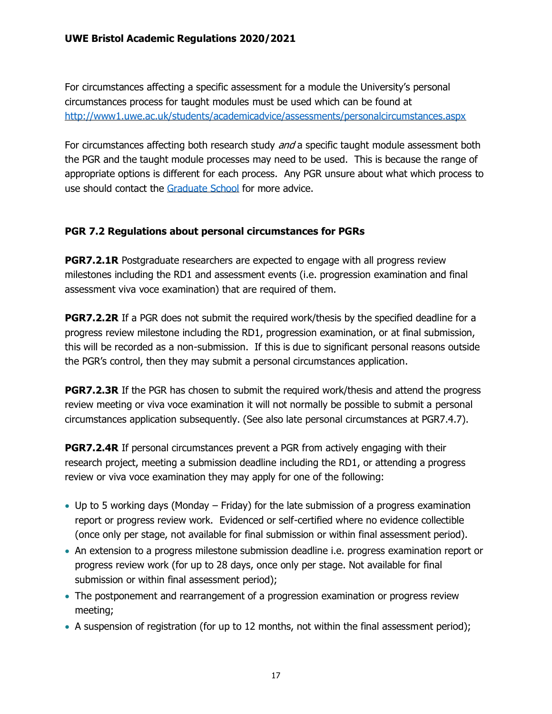For circumstances affecting a specific assessment for a module the University's personal circumstances process for taught modules must be used which can be found at [http://www1.uwe.ac.uk/students/academicadvice/assessments/personalcircumstances.aspx](http://www1.uwe.ac.uk/students/academicadvice/assessments/extenuatingcircumstances.aspx)

For circumstances affecting both research study *and* a specific taught module assessment both the PGR and the taught module processes may need to be used. This is because the range of appropriate options is different for each process. Any PGR unsure about what which process to use should contact the [Graduate School](http://www1.uwe.ac.uk/research/postgraduateresearchstudy/contactuwegraduateschool.aspx) for more advice.

# **PGR 7.2 Regulations about personal circumstances for PGRs**

**PGR7.2.1R** Postgraduate researchers are expected to engage with all progress review milestones including the RD1 and assessment events (i.e. progression examination and final assessment viva voce examination) that are required of them.

**PGR7.2.2R** If a PGR does not submit the required work/thesis by the specified deadline for a progress review milestone including the RD1, progression examination, or at final submission, this will be recorded as a non-submission. If this is due to significant personal reasons outside the PGR's control, then they may submit a personal circumstances application.

**PGR7.2.3R** If the PGR has chosen to submit the required work/thesis and attend the progress review meeting or viva voce examination it will not normally be possible to submit a personal circumstances application subsequently. (See also late personal circumstances at PGR7.4.7).

**PGR7.2.4R** If personal circumstances prevent a PGR from actively engaging with their research project, meeting a submission deadline including the RD1, or attending a progress review or viva voce examination they may apply for one of the following:

- Up to 5 working days (Monday Friday) for the late submission of a progress examination report or progress review work. Evidenced or self-certified where no evidence collectible (once only per stage, not available for final submission or within final assessment period).
- An extension to a progress milestone submission deadline i.e. progress examination report or progress review work (for up to 28 days, once only per stage. Not available for final submission or within final assessment period);
- The postponement and rearrangement of a progression examination or progress review meeting;
- A suspension of registration (for up to 12 months, not within the final assessment period);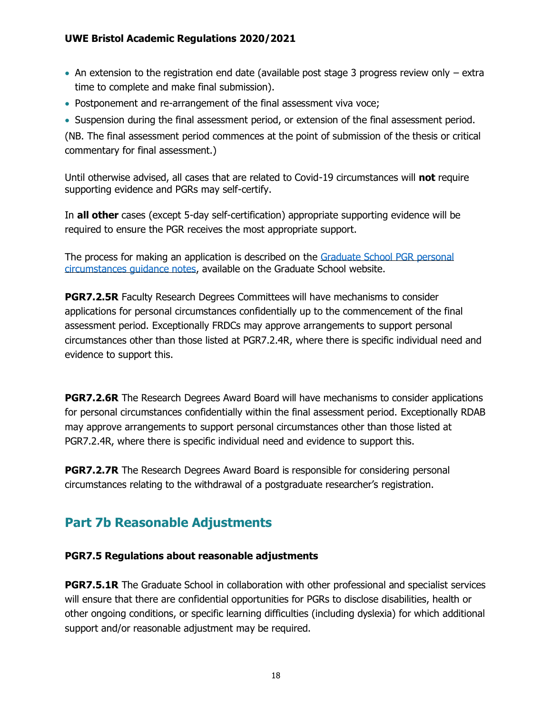- An extension to the registration end date (available post stage 3 progress review only  $-$  extra time to complete and make final submission).
- Postponement and re-arrangement of the final assessment viva voce;
- Suspension during the final assessment period, or extension of the final assessment period.

(NB. The final assessment period commences at the point of submission of the thesis or critical commentary for final assessment.)

Until otherwise advised, all cases that are related to Covid-19 circumstances will **not** require supporting evidence and PGRs may self-certify.

In **all other** cases (except 5-day self-certification) appropriate supporting evidence will be required to ensure the PGR receives the most appropriate support.

The process for making an application is described on the [Graduate School PGR personal](http://www1.uwe.ac.uk/research/postgraduateresearchstudy/studysupport/applyingforresearchstudy-7.aspx)  [circumstances guidance notes,](http://www1.uwe.ac.uk/research/postgraduateresearchstudy/studysupport/applyingforresearchstudy-7.aspx) available on the Graduate School website.

**PGR7.2.5R** Faculty Research Degrees Committees will have mechanisms to consider applications for personal circumstances confidentially up to the commencement of the final assessment period. Exceptionally FRDCs may approve arrangements to support personal circumstances other than those listed at PGR7.2.4R, where there is specific individual need and evidence to support this.

**PGR7.2.6R** The Research Degrees Award Board will have mechanisms to consider applications for personal circumstances confidentially within the final assessment period. Exceptionally RDAB may approve arrangements to support personal circumstances other than those listed at PGR7.2.4R, where there is specific individual need and evidence to support this.

**PGR7.2.7R** The Research Degrees Award Board is responsible for considering personal circumstances relating to the withdrawal of a postgraduate researcher's registration.

# **Part 7b Reasonable Adjustments**

### **PGR7.5 Regulations about reasonable adjustments**

**PGR7.5.1R** The Graduate School in collaboration with other professional and specialist services will ensure that there are confidential opportunities for PGRs to disclose disabilities, health or other ongoing conditions, or specific learning difficulties (including dyslexia) for which additional support and/or reasonable adjustment may be required.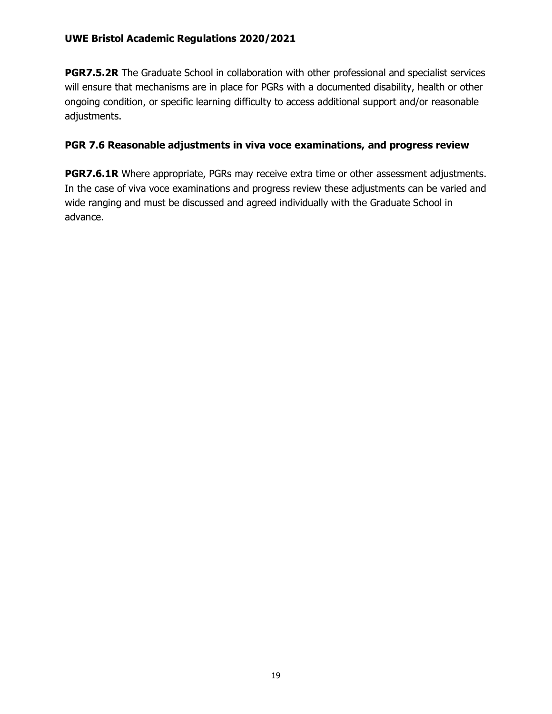**PGR7.5.2R** The Graduate School in collaboration with other professional and specialist services will ensure that mechanisms are in place for PGRs with a documented disability, health or other ongoing condition, or specific learning difficulty to access additional support and/or reasonable adjustments.

# **PGR 7.6 Reasonable adjustments in viva voce examinations, and progress review**

**PGR7.6.1R** Where appropriate, PGRs may receive extra time or other assessment adjustments. In the case of viva voce examinations and progress review these adjustments can be varied and wide ranging and must be discussed and agreed individually with the Graduate School in advance.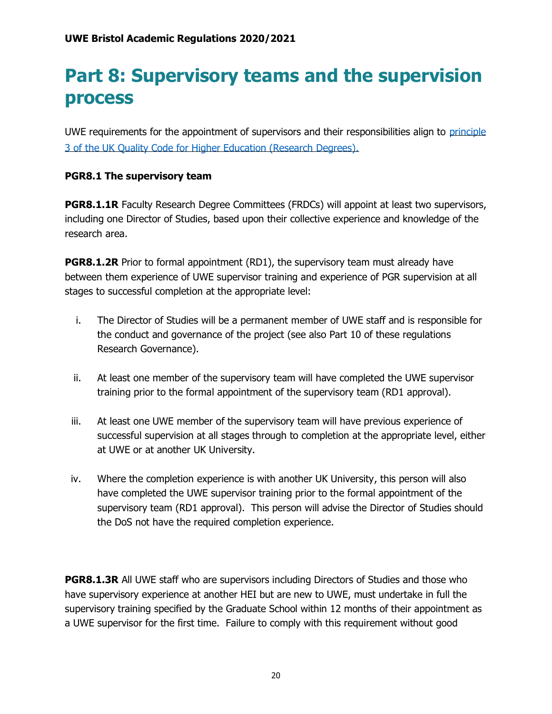# **Part 8: Supervisory teams and the supervision process**

UWE requirements for the appointment of supervisors and their responsibilities align to [principle](https://www.qaa.ac.uk/en/quality-code/advice-and-guidance/research-degrees)  [3 of the UK Quality Code for Higher Education \(Research Degrees\).](https://www.qaa.ac.uk/en/quality-code/advice-and-guidance/research-degrees)

### **PGR8.1 The supervisory team**

**PGR8.1.1R** Faculty Research Degree Committees (FRDCs) will appoint at least two supervisors, including one Director of Studies, based upon their collective experience and knowledge of the research area.

**PGR8.1.2R** Prior to formal appointment (RD1), the supervisory team must already have between them experience of UWE supervisor training and experience of PGR supervision at all stages to successful completion at the appropriate level:

- i. The Director of Studies will be a permanent member of UWE staff and is responsible for the conduct and governance of the project (see also Part 10 of these regulations Research Governance).
- ii. At least one member of the supervisory team will have completed the UWE supervisor training prior to the formal appointment of the supervisory team (RD1 approval).
- iii. At least one UWE member of the supervisory team will have previous experience of successful supervision at all stages through to completion at the appropriate level, either at UWE or at another UK University.
- iv. Where the completion experience is with another UK University, this person will also have completed the UWE supervisor training prior to the formal appointment of the supervisory team (RD1 approval). This person will advise the Director of Studies should the DoS not have the required completion experience.

**PGR8.1.3R** All UWE staff who are supervisors including Directors of Studies and those who have supervisory experience at another HEI but are new to UWE, must undertake in full the supervisory training specified by the Graduate School within 12 months of their appointment as a UWE supervisor for the first time. Failure to comply with this requirement without good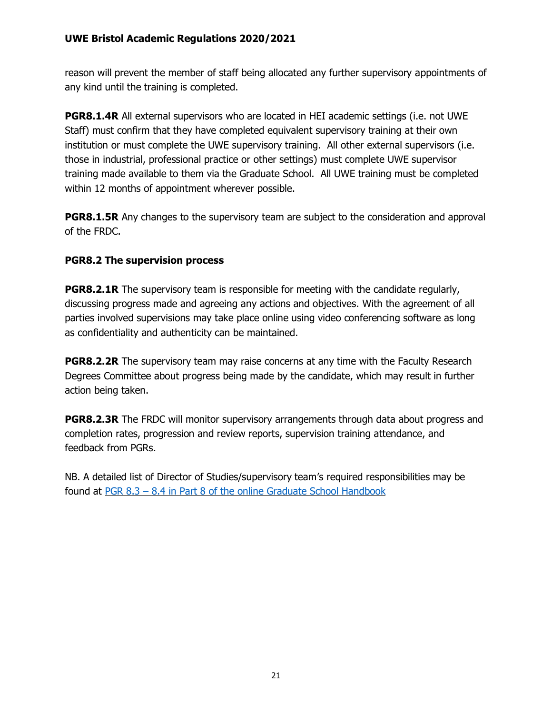reason will prevent the member of staff being allocated any further supervisory appointments of any kind until the training is completed.

**PGR8.1.4R** All external supervisors who are located in HEI academic settings (i.e. not UWE Staff) must confirm that they have completed equivalent supervisory training at their own institution or must complete the UWE supervisory training. All other external supervisors (i.e. those in industrial, professional practice or other settings) must complete UWE supervisor training made available to them via the Graduate School. All UWE training must be completed within 12 months of appointment wherever possible.

**PGR8.1.5R** Any changes to the supervisory team are subject to the consideration and approval of the FRDC.

### **PGR8.2 The supervision process**

**PGR8.2.1R** The supervisory team is responsible for meeting with the candidate regularly, discussing progress made and agreeing any actions and objectives. With the agreement of all parties involved supervisions may take place online using video conferencing software as long as confidentiality and authenticity can be maintained.

**PGR8.2.2R** The supervisory team may raise concerns at any time with the Faculty Research Degrees Committee about progress being made by the candidate, which may result in further action being taken.

**PGR8.2.3R** The FRDC will monitor supervisory arrangements through data about progress and completion rates, progression and review reports, supervision training attendance, and feedback from PGRs.

NB. A detailed list of Director of Studies/supervisory team's required responsibilities may be found at PGR 8.3 – [8.4 in Part 8 of the online Graduate School Handbook](https://www1.uwe.ac.uk/research/postgraduateresearchstudy/currentpgresearchers/graduateschoolhandbook/part8-supervision.aspx)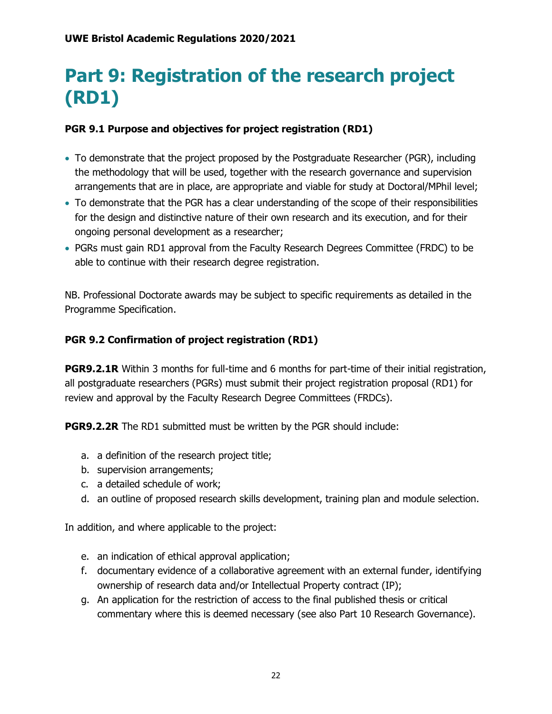# **Part 9: Registration of the research project (RD1)**

# **PGR 9.1 Purpose and objectives for project registration (RD1)**

- To demonstrate that the project proposed by the Postgraduate Researcher (PGR), including the methodology that will be used, together with the research governance and supervision arrangements that are in place, are appropriate and viable for study at Doctoral/MPhil level;
- To demonstrate that the PGR has a clear understanding of the scope of their responsibilities for the design and distinctive nature of their own research and its execution, and for their ongoing personal development as a researcher;
- PGRs must gain RD1 approval from the Faculty Research Degrees Committee (FRDC) to be able to continue with their research degree registration.

NB. Professional Doctorate awards may be subject to specific requirements as detailed in the Programme Specification.

# **PGR 9.2 Confirmation of project registration (RD1)**

**PGR9.2.1R** Within 3 months for full-time and 6 months for part-time of their initial registration, all postgraduate researchers (PGRs) must submit their project registration proposal (RD1) for review and approval by the Faculty Research Degree Committees (FRDCs).

**PGR9.2.2R** The RD1 submitted must be written by the PGR should include:

- a. a definition of the research project title;
- b. supervision arrangements;
- c. a detailed schedule of work;
- d. an outline of proposed research skills development, training plan and module selection.

In addition, and where applicable to the project:

- e. an indication of ethical approval application;
- f. documentary evidence of a collaborative agreement with an external funder, identifying ownership of research data and/or Intellectual Property contract (IP);
- g. An application for the restriction of access to the final published thesis or critical commentary where this is deemed necessary (see also Part 10 Research Governance).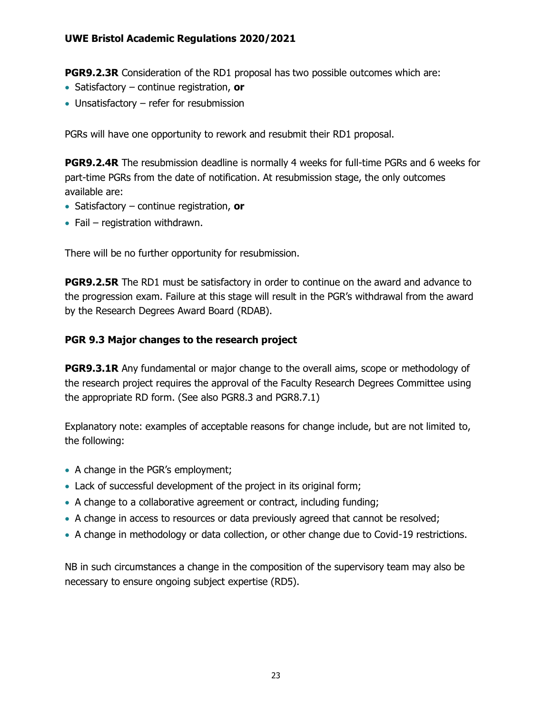**PGR9.2.3R** Consideration of the RD1 proposal has two possible outcomes which are:

- Satisfactory continue registration, **or**
- Unsatisfactory refer for resubmission

PGRs will have one opportunity to rework and resubmit their RD1 proposal.

**PGR9.2.4R** The resubmission deadline is normally 4 weeks for full-time PGRs and 6 weeks for part-time PGRs from the date of notification. At resubmission stage, the only outcomes available are:

- Satisfactory continue registration, **or**
- Fail registration withdrawn.

There will be no further opportunity for resubmission.

**PGR9.2.5R** The RD1 must be satisfactory in order to continue on the award and advance to the progression exam. Failure at this stage will result in the PGR's withdrawal from the award by the Research Degrees Award Board (RDAB).

### **PGR 9.3 Major changes to the research project**

**PGR9.3.1R** Any fundamental or major change to the overall aims, scope or methodology of the research project requires the approval of the Faculty Research Degrees Committee using the appropriate RD form. (See also PGR8.3 and PGR8.7.1)

Explanatory note: examples of acceptable reasons for change include, but are not limited to, the following:

- A change in the PGR's employment;
- Lack of successful development of the project in its original form;
- A change to a collaborative agreement or contract, including funding;
- A change in access to resources or data previously agreed that cannot be resolved;
- A change in methodology or data collection, or other change due to Covid-19 restrictions.

NB in such circumstances a change in the composition of the supervisory team may also be necessary to ensure ongoing subject expertise (RD5).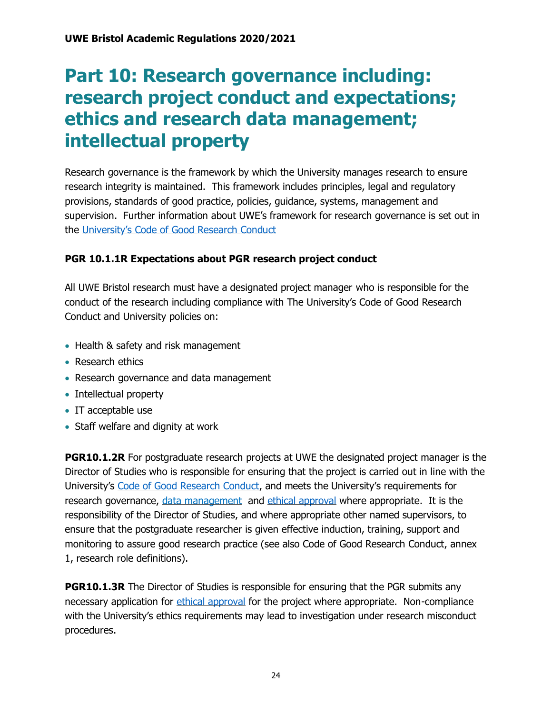# **Part 10: Research governance including: research project conduct and expectations; ethics and research data management; intellectual property**

Research governance is the framework by which the University manages research to ensure research integrity is maintained. This framework includes principles, legal and regulatory provisions, standards of good practice, policies, guidance, systems, management and supervision. Further information about UWE's framework for research governance is set out in the [University's Code of Good Research Conduct](http://www1.uwe.ac.uk/research/researchgovernance/codeofgoodresearchconduct.aspx)

# **PGR 10.1.1R Expectations about PGR research project conduct**

All UWE Bristol research must have a designated project manager who is responsible for the conduct of the research including compliance with The University's Code of Good Research Conduct and University policies on:

- Health & safety and risk management
- Research ethics
- Research governance and data management
- Intellectual property
- IT acceptable use
- Staff welfare and dignity at work

**PGR10.1.2R** For postgraduate research projects at UWE the designated project manager is the Director of Studies who is responsible for ensuring that the project is carried out in line with the University's [Code of Good Research Conduct,](http://www1.uwe.ac.uk/research/researchgovernance/codeofgoodresearchconduct.aspx) and meets the University's requirements for research governance, [data management](https://www1.uwe.ac.uk/research/researchgovernance/resourcesforresearchers/researchdatamanagement.aspx) and [ethical approval](http://www1.uwe.ac.uk/research/researchethics.aspx) where appropriate. It is the responsibility of the Director of Studies, and where appropriate other named supervisors, to ensure that the postgraduate researcher is given effective induction, training, support and monitoring to assure good research practice (see also Code of Good Research Conduct, annex 1, research role definitions).

**PGR10.1.3R** The Director of Studies is responsible for ensuring that the PGR submits any necessary application for [ethical approval](http://www1.uwe.ac.uk/research/researchethics.aspx) for the project where appropriate. Non-compliance with the University's ethics requirements may lead to investigation under research misconduct procedures.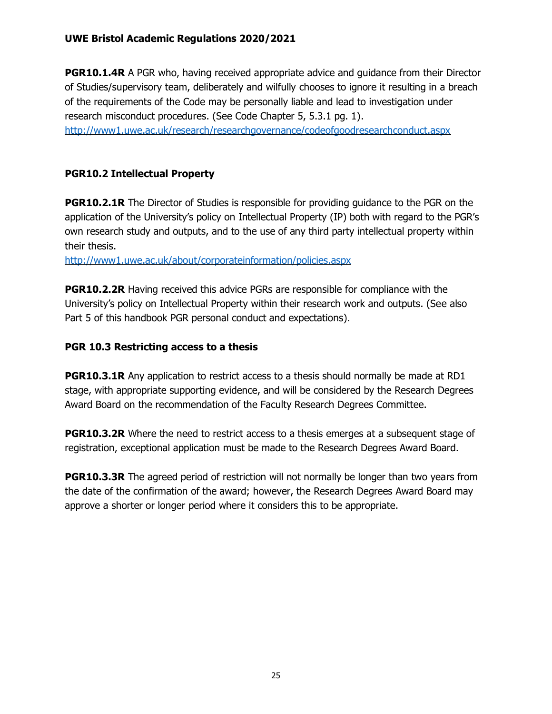**PGR10.1.4R** A PGR who, having received appropriate advice and quidance from their Director of Studies/supervisory team, deliberately and wilfully chooses to ignore it resulting in a breach of the requirements of the Code may be personally liable and lead to investigation under research misconduct procedures. (See Code Chapter 5, 5.3.1 pg. 1). <http://www1.uwe.ac.uk/research/researchgovernance/codeofgoodresearchconduct.aspx>

### **PGR10.2 Intellectual Property**

**PGR10.2.1R** The Director of Studies is responsible for providing quidance to the PGR on the application of the University's policy on Intellectual Property (IP) both with regard to the PGR's own research study and outputs, and to the use of any third party intellectual property within their thesis.

<http://www1.uwe.ac.uk/about/corporateinformation/policies.aspx>

**PGR10.2.2R** Having received this advice PGRs are responsible for compliance with the University's policy on Intellectual Property within their research work and outputs. (See also Part 5 of this handbook PGR personal conduct and expectations).

### **PGR 10.3 Restricting access to a thesis**

**PGR10.3.1R** Any application to restrict access to a thesis should normally be made at RD1 stage, with appropriate supporting evidence, and will be considered by the Research Degrees Award Board on the recommendation of the Faculty Research Degrees Committee.

**PGR10.3.2R** Where the need to restrict access to a thesis emerges at a subsequent stage of registration, exceptional application must be made to the Research Degrees Award Board.

**PGR10.3.3R** The agreed period of restriction will not normally be longer than two years from the date of the confirmation of the award; however, the Research Degrees Award Board may approve a shorter or longer period where it considers this to be appropriate.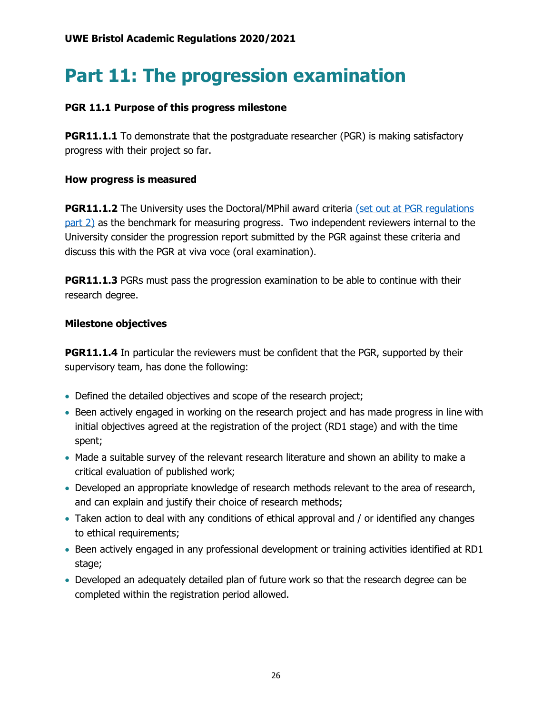# **Part 11: The progression examination**

### **PGR 11.1 Purpose of this progress milestone**

**PGR11.1.1** To demonstrate that the postgraduate researcher (PGR) is making satisfactory progress with their project so far.

#### **How progress is measured**

**PGR11.1.2** The University uses the Doctoral/MPhil award criteria (set out at PGR regulations [part 2\)](https://www1.uwe.ac.uk/research/postgraduateresearchstudy/currentpgresearchers/graduateschoolhandbook/part2-pgrdescriptors.aspx) as the benchmark for measuring progress. Two independent reviewers internal to the University consider the progression report submitted by the PGR against these criteria and discuss this with the PGR at viva voce (oral examination).

**PGR11.1.3** PGRs must pass the progression examination to be able to continue with their research degree.

### **Milestone objectives**

**PGR11.1.4** In particular the reviewers must be confident that the PGR, supported by their supervisory team, has done the following:

- Defined the detailed objectives and scope of the research project;
- Been actively engaged in working on the research project and has made progress in line with initial objectives agreed at the registration of the project (RD1 stage) and with the time spent;
- Made a suitable survey of the relevant research literature and shown an ability to make a critical evaluation of published work;
- Developed an appropriate knowledge of research methods relevant to the area of research, and can explain and justify their choice of research methods;
- Taken action to deal with any conditions of ethical approval and / or identified any changes to ethical requirements;
- Been actively engaged in any professional development or training activities identified at RD1 stage;
- Developed an adequately detailed plan of future work so that the research degree can be completed within the registration period allowed.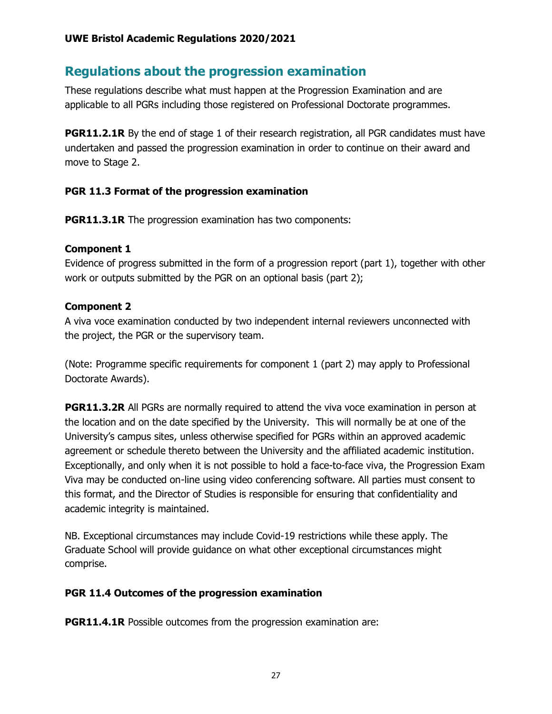# **Regulations about the progression examination**

These regulations describe what must happen at the Progression Examination and are applicable to all PGRs including those registered on Professional Doctorate programmes.

**PGR11.2.1R** By the end of stage 1 of their research registration, all PGR candidates must have undertaken and passed the progression examination in order to continue on their award and move to Stage 2.

# **PGR 11.3 Format of the progression examination**

**PGR11.3.1R** The progression examination has two components:

# **Component 1**

Evidence of progress submitted in the form of a progression report (part 1), together with other work or outputs submitted by the PGR on an optional basis (part 2);

# **Component 2**

A viva voce examination conducted by two independent internal reviewers unconnected with the project, the PGR or the supervisory team.

(Note: Programme specific requirements for component 1 (part 2) may apply to Professional Doctorate Awards).

**PGR11.3.2R** All PGRs are normally required to attend the viva voce examination in person at the location and on the date specified by the University. This will normally be at one of the University's campus sites, unless otherwise specified for PGRs within an approved academic agreement or schedule thereto between the University and the affiliated academic institution. Exceptionally, and only when it is not possible to hold a face-to-face viva, the Progression Exam Viva may be conducted on-line using video conferencing software. All parties must consent to this format, and the Director of Studies is responsible for ensuring that confidentiality and academic integrity is maintained.

NB. Exceptional circumstances may include Covid-19 restrictions while these apply. The Graduate School will provide guidance on what other exceptional circumstances might comprise.

# **PGR 11.4 Outcomes of the progression examination**

**PGR11.4.1R** Possible outcomes from the progression examination are: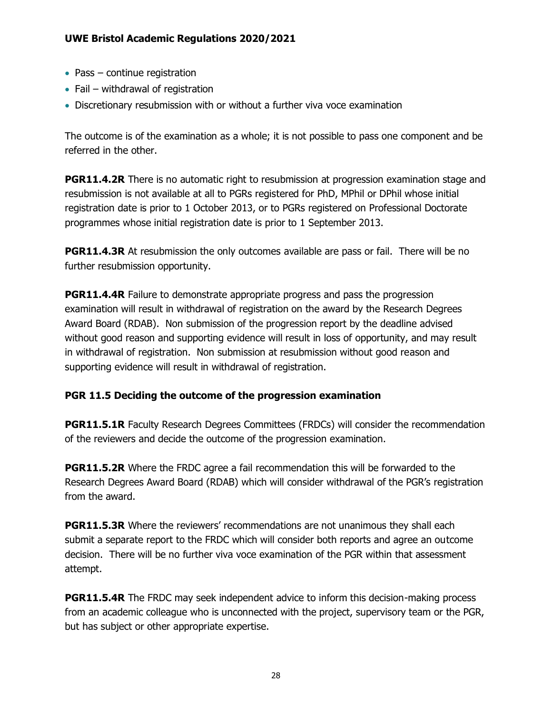- Pass continue registration
- Fail withdrawal of registration
- Discretionary resubmission with or without a further viva voce examination

The outcome is of the examination as a whole; it is not possible to pass one component and be referred in the other.

**PGR11.4.2R** There is no automatic right to resubmission at progression examination stage and resubmission is not available at all to PGRs registered for PhD, MPhil or DPhil whose initial registration date is prior to 1 October 2013, or to PGRs registered on Professional Doctorate programmes whose initial registration date is prior to 1 September 2013.

**PGR11.4.3R** At resubmission the only outcomes available are pass or fail. There will be no further resubmission opportunity.

**PGR11.4.4R** Failure to demonstrate appropriate progress and pass the progression examination will result in withdrawal of registration on the award by the Research Degrees Award Board (RDAB). Non submission of the progression report by the deadline advised without good reason and supporting evidence will result in loss of opportunity, and may result in withdrawal of registration. Non submission at resubmission without good reason and supporting evidence will result in withdrawal of registration.

# **PGR 11.5 Deciding the outcome of the progression examination**

**PGR11.5.1R** Faculty Research Degrees Committees (FRDCs) will consider the recommendation of the reviewers and decide the outcome of the progression examination.

**PGR11.5.2R** Where the FRDC agree a fail recommendation this will be forwarded to the Research Degrees Award Board (RDAB) which will consider withdrawal of the PGR's registration from the award.

**PGR11.5.3R** Where the reviewers' recommendations are not unanimous they shall each submit a separate report to the FRDC which will consider both reports and agree an outcome decision. There will be no further viva voce examination of the PGR within that assessment attempt.

**PGR11.5.4R** The FRDC may seek independent advice to inform this decision-making process from an academic colleague who is unconnected with the project, supervisory team or the PGR, but has subject or other appropriate expertise.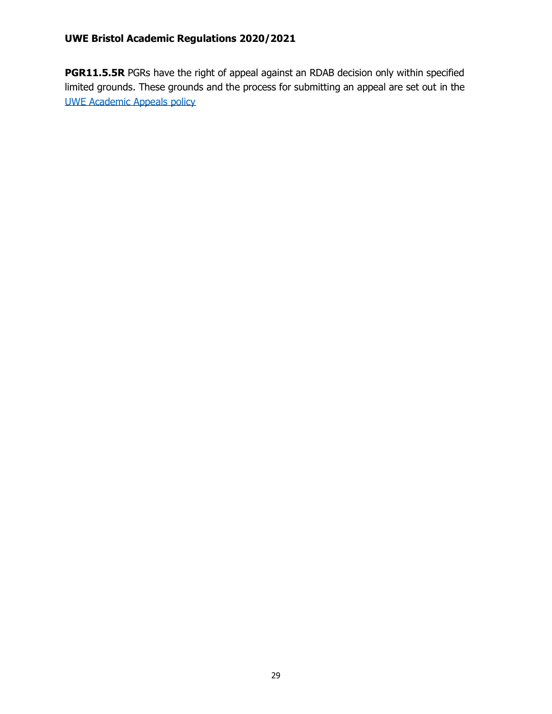**PGR11.5.5R** PGRs have the right of appeal against an RDAB decision only within specified limited grounds. These grounds and the process for submitting an appeal are set out in the [UWE Academic Appeals policy](https://www2.uwe.ac.uk/services/Marketing/about-us/pdf/Policies/Academic-Appeals-Policy.pdf)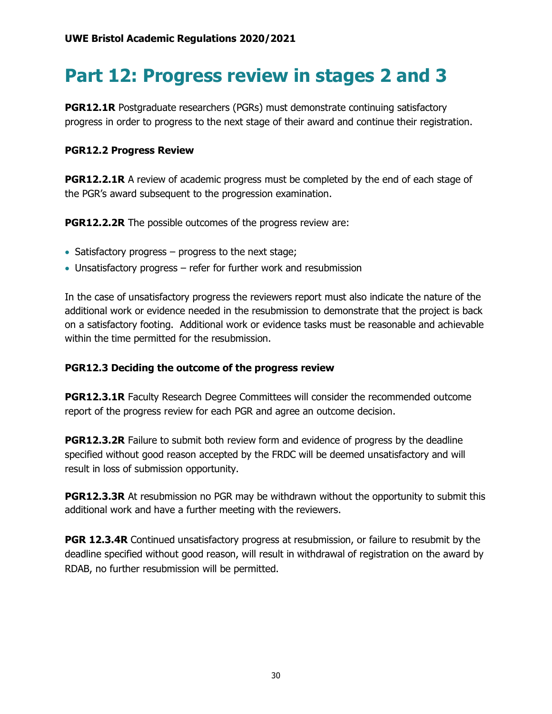# **Part 12: Progress review in stages 2 and 3**

**PGR12.1R** Postgraduate researchers (PGRs) must demonstrate continuing satisfactory progress in order to progress to the next stage of their award and continue their registration.

### **PGR12.2 Progress Review**

**PGR12.2.1R** A review of academic progress must be completed by the end of each stage of the PGR's award subsequent to the progression examination.

**PGR12.2.2R** The possible outcomes of the progress review are:

- Satisfactory progress progress to the next stage;
- Unsatisfactory progress refer for further work and resubmission

In the case of unsatisfactory progress the reviewers report must also indicate the nature of the additional work or evidence needed in the resubmission to demonstrate that the project is back on a satisfactory footing. Additional work or evidence tasks must be reasonable and achievable within the time permitted for the resubmission.

# **PGR12.3 Deciding the outcome of the progress review**

**PGR12.3.1R** Faculty Research Degree Committees will consider the recommended outcome report of the progress review for each PGR and agree an outcome decision.

**PGR12.3.2R** Failure to submit both review form and evidence of progress by the deadline specified without good reason accepted by the FRDC will be deemed unsatisfactory and will result in loss of submission opportunity.

**PGR12.3.3R** At resubmission no PGR may be withdrawn without the opportunity to submit this additional work and have a further meeting with the reviewers.

**PGR 12.3.4R** Continued unsatisfactory progress at resubmission, or failure to resubmit by the deadline specified without good reason, will result in withdrawal of registration on the award by RDAB, no further resubmission will be permitted.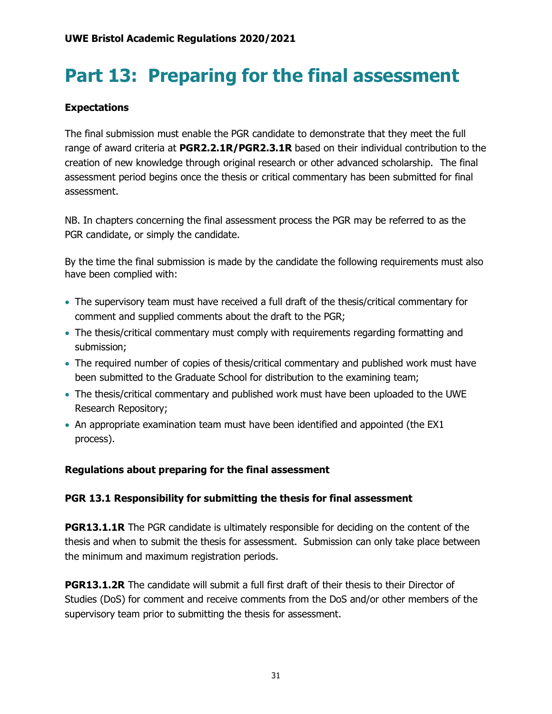# **Part 13: Preparing for the final assessment**

# **Expectations**

The final submission must enable the PGR candidate to demonstrate that they meet the full range of award criteria at **PGR2.2.1R/PGR2.3.1R** based on their individual contribution to the creation of new knowledge through original research or other advanced scholarship. The final assessment period begins once the thesis or critical commentary has been submitted for final assessment.

NB. In chapters concerning the final assessment process the PGR may be referred to as the PGR candidate, or simply the candidate.

By the time the final submission is made by the candidate the following requirements must also have been complied with:

- The supervisory team must have received a full draft of the thesis/critical commentary for comment and supplied comments about the draft to the PGR;
- The thesis/critical commentary must comply with requirements regarding formatting and submission;
- The required number of copies of thesis/critical commentary and published work must have been submitted to the Graduate School for distribution to the examining team;
- The thesis/critical commentary and published work must have been uploaded to the UWE Research Repository;
- An appropriate examination team must have been identified and appointed (the EX1 process).

# **Regulations about preparing for the final assessment**

### **PGR 13.1 Responsibility for submitting the thesis for final assessment**

**PGR13.1.1R** The PGR candidate is ultimately responsible for deciding on the content of the thesis and when to submit the thesis for assessment. Submission can only take place between the minimum and maximum registration periods.

**PGR13.1.2R** The candidate will submit a full first draft of their thesis to their Director of Studies (DoS) for comment and receive comments from the DoS and/or other members of the supervisory team prior to submitting the thesis for assessment.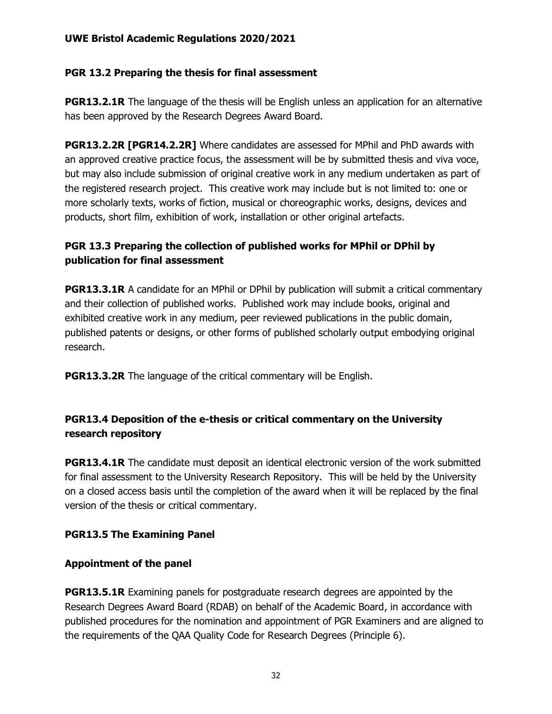### **PGR 13.2 Preparing the thesis for final assessment**

**PGR13.2.1R** The language of the thesis will be English unless an application for an alternative has been approved by the Research Degrees Award Board.

**PGR13.2.2R [PGR14.2.2R]** Where candidates are assessed for MPhil and PhD awards with an approved creative practice focus, the assessment will be by submitted thesis and viva voce, but may also include submission of original creative work in any medium undertaken as part of the registered research project. This creative work may include but is not limited to: one or more scholarly texts, works of fiction, musical or choreographic works, designs, devices and products, short film, exhibition of work, installation or other original artefacts.

# **PGR 13.3 Preparing the collection of published works for MPhil or DPhil by publication for final assessment**

**PGR13.3.1R** A candidate for an MPhil or DPhil by publication will submit a critical commentary and their collection of published works. Published work may include books, original and exhibited creative work in any medium, peer reviewed publications in the public domain, published patents or designs, or other forms of published scholarly output embodying original research.

**PGR13.3.2R** The language of the critical commentary will be English.

# **PGR13.4 Deposition of the e-thesis or critical commentary on the University research repository**

**PGR13.4.1R** The candidate must deposit an identical electronic version of the work submitted for final assessment to the University Research Repository. This will be held by the University on a closed access basis until the completion of the award when it will be replaced by the final version of the thesis or critical commentary.

# **PGR13.5 The Examining Panel**

### **Appointment of the panel**

**PGR13.5.1R** Examining panels for postgraduate research degrees are appointed by the Research Degrees Award Board (RDAB) on behalf of the Academic Board, in accordance with published procedures for the nomination and appointment of PGR Examiners and are aligned to the requirements of the QAA Quality Code for Research Degrees (Principle 6).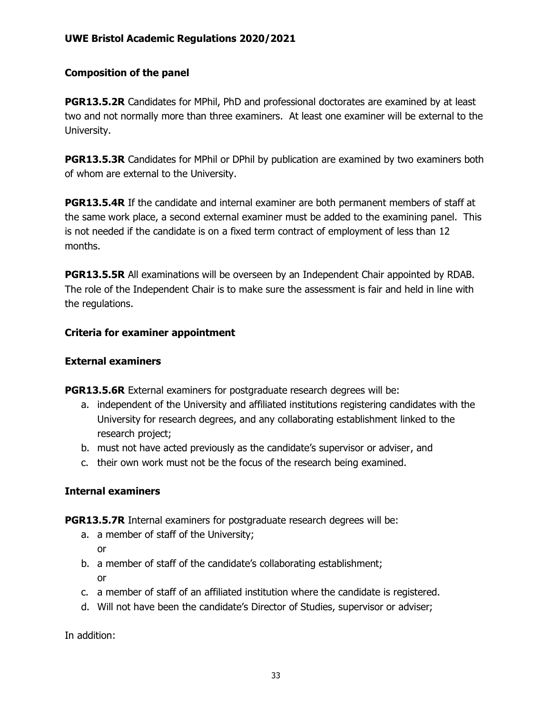### **Composition of the panel**

**PGR13.5.2R** Candidates for MPhil, PhD and professional doctorates are examined by at least two and not normally more than three examiners. At least one examiner will be external to the University.

**PGR13.5.3R** Candidates for MPhil or DPhil by publication are examined by two examiners both of whom are external to the University.

**PGR13.5.4R** If the candidate and internal examiner are both permanent members of staff at the same work place, a second external examiner must be added to the examining panel. This is not needed if the candidate is on a fixed term contract of employment of less than 12 months.

**PGR13.5.5R** All examinations will be overseen by an Independent Chair appointed by RDAB. The role of the Independent Chair is to make sure the assessment is fair and held in line with the regulations.

### **Criteria for examiner appointment**

#### **External examiners**

**PGR13.5.6R** External examiners for postgraduate research degrees will be:

- a. independent of the University and affiliated institutions registering candidates with the University for research degrees, and any collaborating establishment linked to the research project;
- b. must not have acted previously as the candidate's supervisor or adviser, and
- c. their own work must not be the focus of the research being examined.

### **Internal examiners**

**PGR13.5.7R** Internal examiners for postgraduate research degrees will be:

- a. a member of staff of the University;
	- or
- b. a member of staff of the candidate's collaborating establishment; or
- c. a member of staff of an affiliated institution where the candidate is registered.
- d. Will not have been the candidate's Director of Studies, supervisor or adviser;

In addition: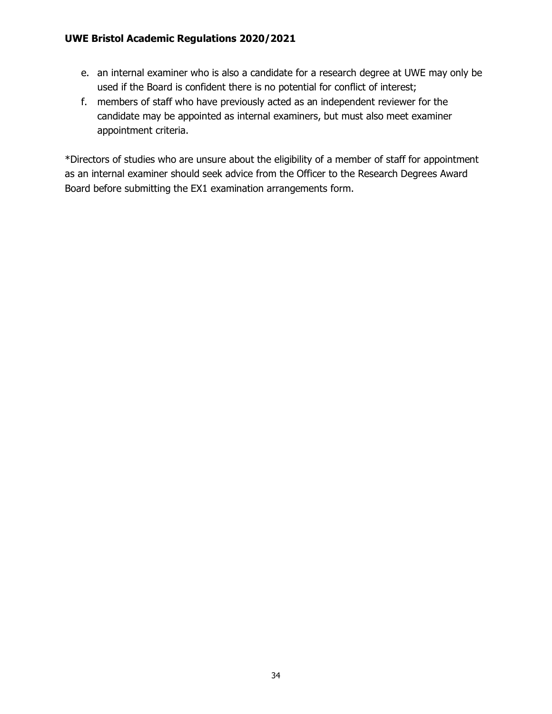- e. an internal examiner who is also a candidate for a research degree at UWE may only be used if the Board is confident there is no potential for conflict of interest;
- f. members of staff who have previously acted as an independent reviewer for the candidate may be appointed as internal examiners, but must also meet examiner appointment criteria.

\*Directors of studies who are unsure about the eligibility of a member of staff for appointment as an internal examiner should seek advice from the Officer to the Research Degrees Award Board before submitting the EX1 examination arrangements form.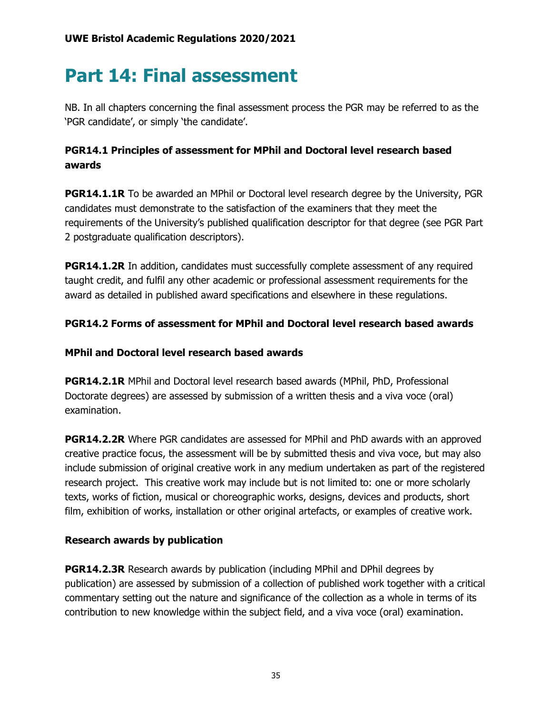# **Part 14: Final assessment**

NB. In all chapters concerning the final assessment process the PGR may be referred to as the 'PGR candidate', or simply 'the candidate'.

# **PGR14.1 Principles of assessment for MPhil and Doctoral level research based awards**

**PGR14.1.1R** To be awarded an MPhil or Doctoral level research degree by the University, PGR candidates must demonstrate to the satisfaction of the examiners that they meet the requirements of the University's published qualification descriptor for that degree (see PGR Part 2 postgraduate qualification descriptors).

**PGR14.1.2R** In addition, candidates must successfully complete assessment of any required taught credit, and fulfil any other academic or professional assessment requirements for the award as detailed in published award specifications and elsewhere in these regulations.

# **PGR14.2 Forms of assessment for MPhil and Doctoral level research based awards**

### **MPhil and Doctoral level research based awards**

**PGR14.2.1R** MPhil and Doctoral level research based awards (MPhil, PhD, Professional Doctorate degrees) are assessed by submission of a written thesis and a viva voce (oral) examination.

**PGR14.2.2R** Where PGR candidates are assessed for MPhil and PhD awards with an approved creative practice focus, the assessment will be by submitted thesis and viva voce, but may also include submission of original creative work in any medium undertaken as part of the registered research project. This creative work may include but is not limited to: one or more scholarly texts, works of fiction, musical or choreographic works, designs, devices and products, short film, exhibition of works, installation or other original artefacts, or examples of creative work.

# **Research awards by publication**

**PGR14.2.3R** Research awards by publication (including MPhil and DPhil degrees by publication) are assessed by submission of a collection of published work together with a critical commentary setting out the nature and significance of the collection as a whole in terms of its contribution to new knowledge within the subject field, and a viva voce (oral) examination.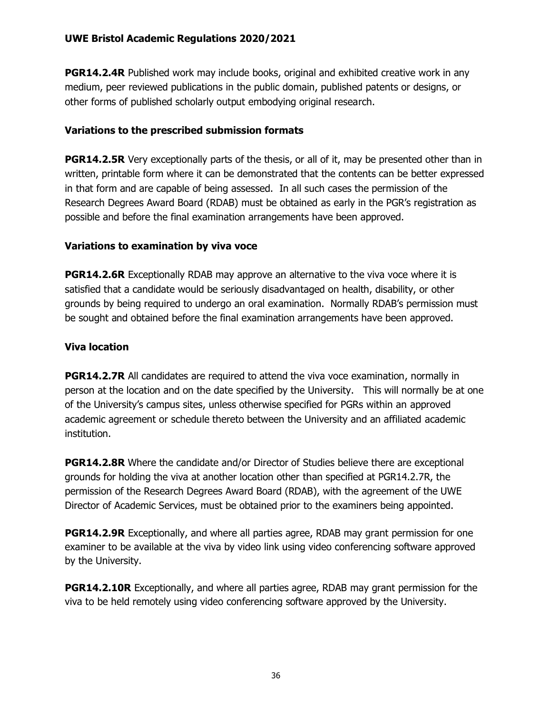**PGR14.2.4R** Published work may include books, original and exhibited creative work in any medium, peer reviewed publications in the public domain, published patents or designs, or other forms of published scholarly output embodying original research.

### **Variations to the prescribed submission formats**

**PGR14.2.5R** Very exceptionally parts of the thesis, or all of it, may be presented other than in written, printable form where it can be demonstrated that the contents can be better expressed in that form and are capable of being assessed. In all such cases the permission of the Research Degrees Award Board (RDAB) must be obtained as early in the PGR's registration as possible and before the final examination arrangements have been approved.

# **Variations to examination by viva voce**

**PGR14.2.6R** Exceptionally RDAB may approve an alternative to the viva voce where it is satisfied that a candidate would be seriously disadvantaged on health, disability, or other grounds by being required to undergo an oral examination. Normally RDAB's permission must be sought and obtained before the final examination arrangements have been approved.

### **Viva location**

**PGR14.2.7R** All candidates are required to attend the viva voce examination, normally in person at the location and on the date specified by the University. This will normally be at one of the University's campus sites, unless otherwise specified for PGRs within an approved academic agreement or schedule thereto between the University and an affiliated academic institution.

**PGR14.2.8R** Where the candidate and/or Director of Studies believe there are exceptional grounds for holding the viva at another location other than specified at PGR14.2.7R, the permission of the Research Degrees Award Board (RDAB), with the agreement of the UWE Director of Academic Services, must be obtained prior to the examiners being appointed.

**PGR14.2.9R** Exceptionally, and where all parties agree, RDAB may grant permission for one examiner to be available at the viva by video link using video conferencing software approved by the University.

**PGR14.2.10R** Exceptionally, and where all parties agree, RDAB may grant permission for the viva to be held remotely using video conferencing software approved by the University.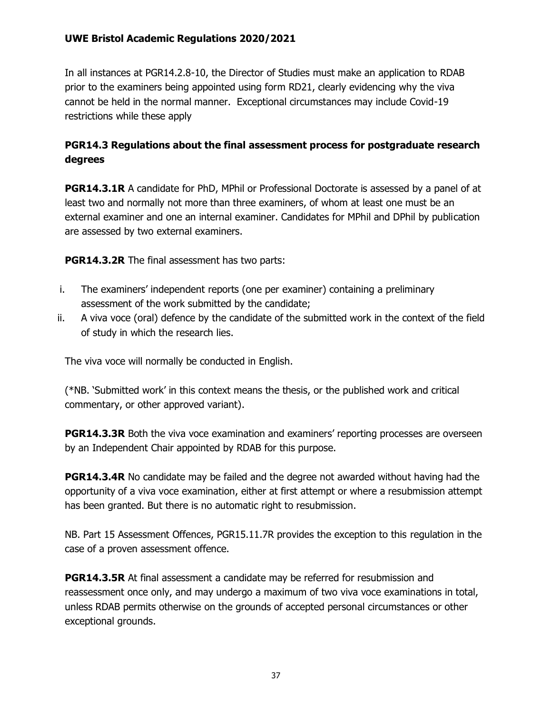In all instances at PGR14.2.8-10, the Director of Studies must make an application to RDAB prior to the examiners being appointed using form RD21, clearly evidencing why the viva cannot be held in the normal manner. Exceptional circumstances may include Covid-19 restrictions while these apply

# **PGR14.3 Regulations about the final assessment process for postgraduate research degrees**

**PGR14.3.1R** A candidate for PhD, MPhil or Professional Doctorate is assessed by a panel of at least two and normally not more than three examiners, of whom at least one must be an external examiner and one an internal examiner. Candidates for MPhil and DPhil by publication are assessed by two external examiners.

**PGR14.3.2R** The final assessment has two parts:

- i. The examiners' independent reports (one per examiner) containing a preliminary assessment of the work submitted by the candidate;
- ii. A viva voce (oral) defence by the candidate of the submitted work in the context of the field of study in which the research lies.

The viva voce will normally be conducted in English.

(\*NB. 'Submitted work' in this context means the thesis, or the published work and critical commentary, or other approved variant).

**PGR14.3.3R** Both the viva voce examination and examiners' reporting processes are overseen by an Independent Chair appointed by RDAB for this purpose.

**PGR14.3.4R** No candidate may be failed and the degree not awarded without having had the opportunity of a viva voce examination, either at first attempt or where a resubmission attempt has been granted. But there is no automatic right to resubmission.

NB. Part 15 Assessment Offences, PGR15.11.7R provides the exception to this regulation in the case of a proven assessment offence.

**PGR14.3.5R** At final assessment a candidate may be referred for resubmission and reassessment once only, and may undergo a maximum of two viva voce examinations in total, unless RDAB permits otherwise on the grounds of accepted personal circumstances or other exceptional grounds.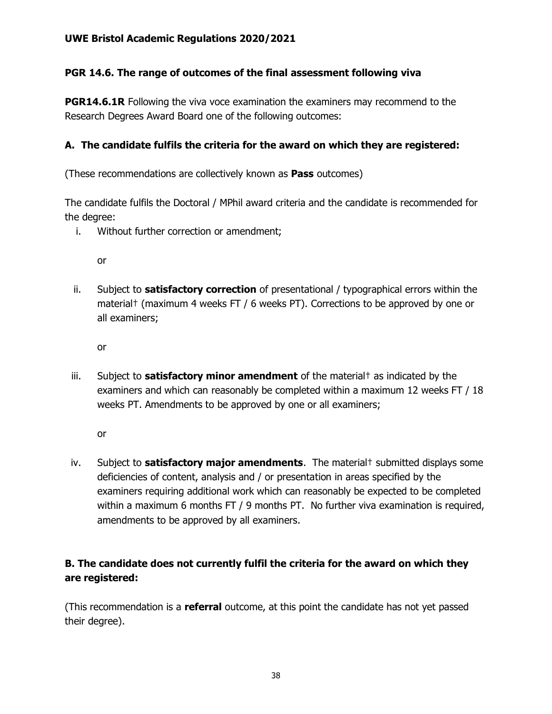### **PGR 14.6. The range of outcomes of the final assessment following viva**

**PGR14.6.1R** Following the viva voce examination the examiners may recommend to the Research Degrees Award Board one of the following outcomes:

### **A. The candidate fulfils the criteria for the award on which they are registered:**

(These recommendations are collectively known as **Pass** outcomes)

The candidate fulfils the Doctoral / MPhil award criteria and the candidate is recommended for the degree:

i. Without further correction or amendment;

or

ii. Subject to **satisfactory correction** of presentational / typographical errors within the material† (maximum 4 weeks FT / 6 weeks PT). Corrections to be approved by one or all examiners;

or

iii. Subject to **satisfactory minor amendment** of the material† as indicated by the examiners and which can reasonably be completed within a maximum 12 weeks FT / 18 weeks PT. Amendments to be approved by one or all examiners;

or

iv. Subject to **satisfactory major amendments**. The material† submitted displays some deficiencies of content, analysis and / or presentation in areas specified by the examiners requiring additional work which can reasonably be expected to be completed within a maximum 6 months FT / 9 months PT. No further viva examination is required, amendments to be approved by all examiners.

# **B. The candidate does not currently fulfil the criteria for the award on which they are registered:**

(This recommendation is a **referral** outcome, at this point the candidate has not yet passed their degree).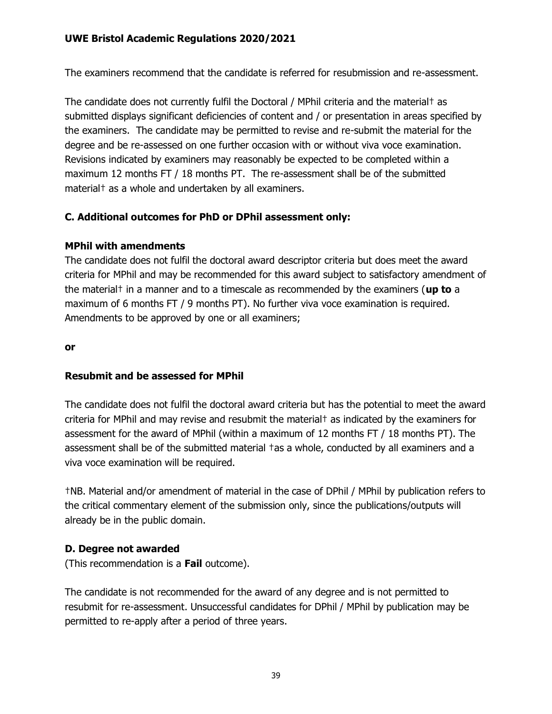The examiners recommend that the candidate is referred for resubmission and re-assessment.

The candidate does not currently fulfil the Doctoral / MPhil criteria and the material† as submitted displays significant deficiencies of content and / or presentation in areas specified by the examiners. The candidate may be permitted to revise and re-submit the material for the degree and be re-assessed on one further occasion with or without viva voce examination. Revisions indicated by examiners may reasonably be expected to be completed within a maximum 12 months FT / 18 months PT. The re-assessment shall be of the submitted material† as a whole and undertaken by all examiners.

### **C. Additional outcomes for PhD or DPhil assessment only:**

### **MPhil with amendments**

The candidate does not fulfil the doctoral award descriptor criteria but does meet the award criteria for MPhil and may be recommended for this award subject to satisfactory amendment of the material† in a manner and to a timescale as recommended by the examiners (**up to** a maximum of 6 months FT / 9 months PT). No further viva voce examination is required. Amendments to be approved by one or all examiners;

#### **or**

### **Resubmit and be assessed for MPhil**

The candidate does not fulfil the doctoral award criteria but has the potential to meet the award criteria for MPhil and may revise and resubmit the material† as indicated by the examiners for assessment for the award of MPhil (within a maximum of 12 months FT / 18 months PT). The assessment shall be of the submitted material †as a whole, conducted by all examiners and a viva voce examination will be required.

†NB. Material and/or amendment of material in the case of DPhil / MPhil by publication refers to the critical commentary element of the submission only, since the publications/outputs will already be in the public domain.

### **D. Degree not awarded**

(This recommendation is a **Fail** outcome).

The candidate is not recommended for the award of any degree and is not permitted to resubmit for re-assessment. Unsuccessful candidates for DPhil / MPhil by publication may be permitted to re-apply after a period of three years.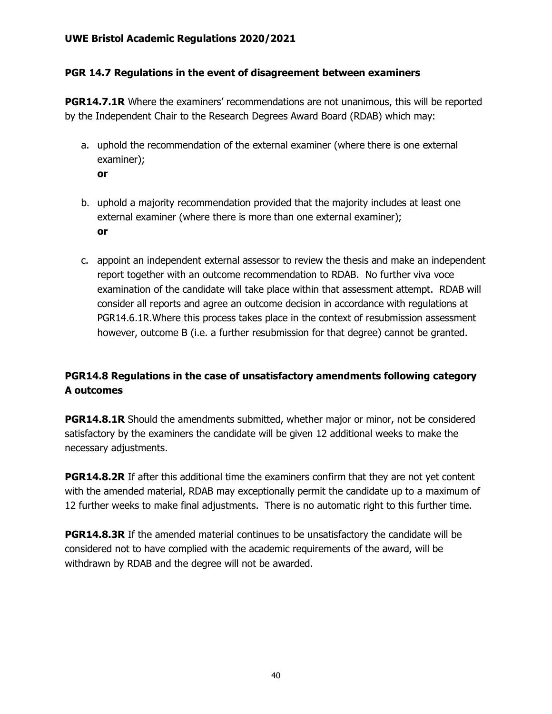### **PGR 14.7 Regulations in the event of disagreement between examiners**

**PGR14.7.1R** Where the examiners' recommendations are not unanimous, this will be reported by the Independent Chair to the Research Degrees Award Board (RDAB) which may:

- a. uphold the recommendation of the external examiner (where there is one external examiner);
	- **or**
- b. uphold a majority recommendation provided that the majority includes at least one external examiner (where there is more than one external examiner); **or**
- c. appoint an independent external assessor to review the thesis and make an independent report together with an outcome recommendation to RDAB. No further viva voce examination of the candidate will take place within that assessment attempt. RDAB will consider all reports and agree an outcome decision in accordance with regulations at PGR14.6.1R.Where this process takes place in the context of resubmission assessment however, outcome B (i.e. a further resubmission for that degree) cannot be granted.

# **PGR14.8 Regulations in the case of unsatisfactory amendments following category A outcomes**

**PGR14.8.1R** Should the amendments submitted, whether major or minor, not be considered satisfactory by the examiners the candidate will be given 12 additional weeks to make the necessary adjustments.

**PGR14.8.2R** If after this additional time the examiners confirm that they are not yet content with the amended material, RDAB may exceptionally permit the candidate up to a maximum of 12 further weeks to make final adjustments. There is no automatic right to this further time.

**PGR14.8.3R** If the amended material continues to be unsatisfactory the candidate will be considered not to have complied with the academic requirements of the award, will be withdrawn by RDAB and the degree will not be awarded.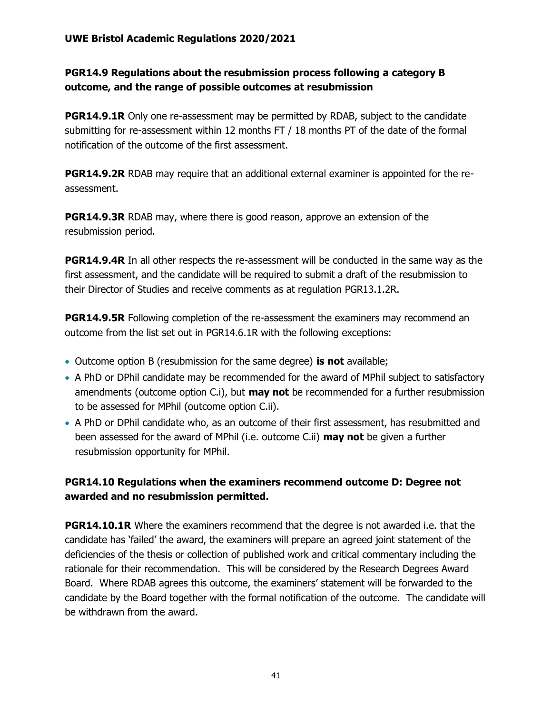# **PGR14.9 Regulations about the resubmission process following a category B outcome, and the range of possible outcomes at resubmission**

**PGR14.9.1R** Only one re-assessment may be permitted by RDAB, subject to the candidate submitting for re-assessment within 12 months FT / 18 months PT of the date of the formal notification of the outcome of the first assessment.

**PGR14.9.2R** RDAB may require that an additional external examiner is appointed for the reassessment.

**PGR14.9.3R** RDAB may, where there is good reason, approve an extension of the resubmission period.

**PGR14.9.4R** In all other respects the re-assessment will be conducted in the same way as the first assessment, and the candidate will be required to submit a draft of the resubmission to their Director of Studies and receive comments as at regulation PGR13.1.2R.

**PGR14.9.5R** Following completion of the re-assessment the examiners may recommend an outcome from the list set out in PGR14.6.1R with the following exceptions:

- Outcome option B (resubmission for the same degree) **is not** available;
- A PhD or DPhil candidate may be recommended for the award of MPhil subject to satisfactory amendments (outcome option C.i), but **may not** be recommended for a further resubmission to be assessed for MPhil (outcome option C.ii).
- A PhD or DPhil candidate who, as an outcome of their first assessment, has resubmitted and been assessed for the award of MPhil (i.e. outcome C.ii) **may not** be given a further resubmission opportunity for MPhil.

# **PGR14.10 Regulations when the examiners recommend outcome D: Degree not awarded and no resubmission permitted.**

**PGR14.10.1R** Where the examiners recommend that the degree is not awarded i.e. that the candidate has 'failed' the award, the examiners will prepare an agreed joint statement of the deficiencies of the thesis or collection of published work and critical commentary including the rationale for their recommendation. This will be considered by the Research Degrees Award Board. Where RDAB agrees this outcome, the examiners' statement will be forwarded to the candidate by the Board together with the formal notification of the outcome. The candidate will be withdrawn from the award.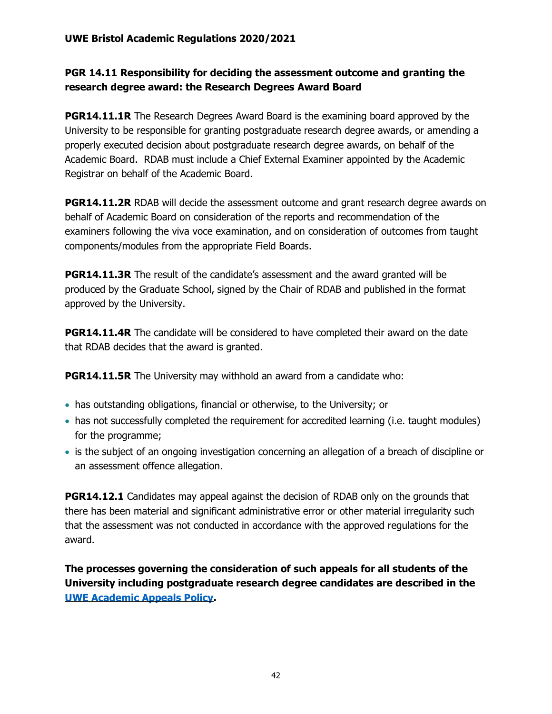# **PGR 14.11 Responsibility for deciding the assessment outcome and granting the research degree award: the Research Degrees Award Board**

**PGR14.11.1R** The Research Degrees Award Board is the examining board approved by the University to be responsible for granting postgraduate research degree awards, or amending a properly executed decision about postgraduate research degree awards, on behalf of the Academic Board. RDAB must include a Chief External Examiner appointed by the Academic Registrar on behalf of the Academic Board.

**PGR14.11.2R** RDAB will decide the assessment outcome and grant research degree awards on behalf of Academic Board on consideration of the reports and recommendation of the examiners following the viva voce examination, and on consideration of outcomes from taught components/modules from the appropriate Field Boards.

**PGR14.11.3R** The result of the candidate's assessment and the award granted will be produced by the Graduate School, signed by the Chair of RDAB and published in the format approved by the University.

**PGR14.11.4R** The candidate will be considered to have completed their award on the date that RDAB decides that the award is granted.

**PGR14.11.5R** The University may withhold an award from a candidate who:

- has outstanding obligations, financial or otherwise, to the University; or
- has not successfully completed the requirement for accredited learning (i.e. taught modules) for the programme;
- is the subject of an ongoing investigation concerning an allegation of a breach of discipline or an assessment offence allegation.

**PGR14.12.1** Candidates may appeal against the decision of RDAB only on the grounds that there has been material and significant administrative error or other material irregularity such that the assessment was not conducted in accordance with the approved regulations for the award.

**The processes governing the consideration of such appeals for all students of the University including postgraduate research degree candidates are described in the [UWE Academic Appeals Policy.](https://www2.uwe.ac.uk/services/Marketing/about-us/pdf/Policies/Academic-Appeals-Policy.pdf)**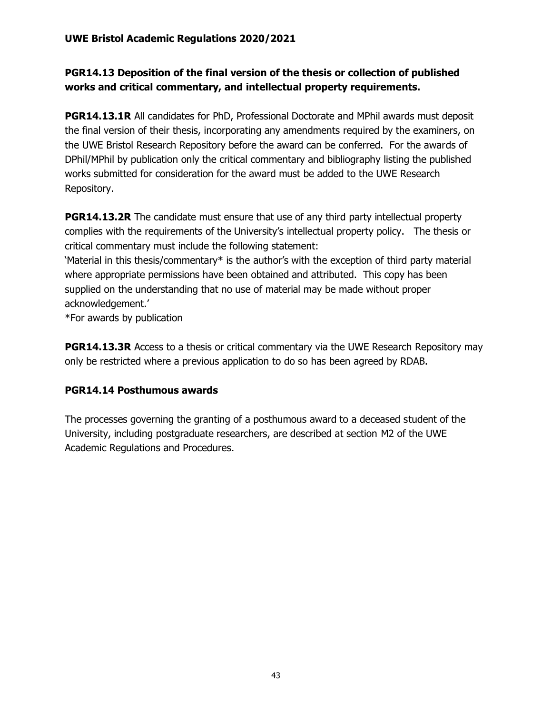# **PGR14.13 Deposition of the final version of the thesis or collection of published works and critical commentary, and intellectual property requirements.**

**PGR14.13.1R** All candidates for PhD, Professional Doctorate and MPhil awards must deposit the final version of their thesis, incorporating any amendments required by the examiners, on the UWE Bristol Research Repository before the award can be conferred. For the awards of DPhil/MPhil by publication only the critical commentary and bibliography listing the published works submitted for consideration for the award must be added to the UWE Research Repository.

**PGR14.13.2R** The candidate must ensure that use of any third party intellectual property complies with the requirements of the University's intellectual property policy. The thesis or critical commentary must include the following statement:

'Material in this thesis/commentary\* is the author's with the exception of third party material where appropriate permissions have been obtained and attributed. This copy has been supplied on the understanding that no use of material may be made without proper acknowledgement.'

\*For awards by publication

**PGR14.13.3R** Access to a thesis or critical commentary via the UWE Research Repository may only be restricted where a previous application to do so has been agreed by RDAB.

# **PGR14.14 Posthumous awards**

The processes governing the granting of a posthumous award to a deceased student of the University, including postgraduate researchers, are described at section M2 of the UWE Academic Regulations and Procedures.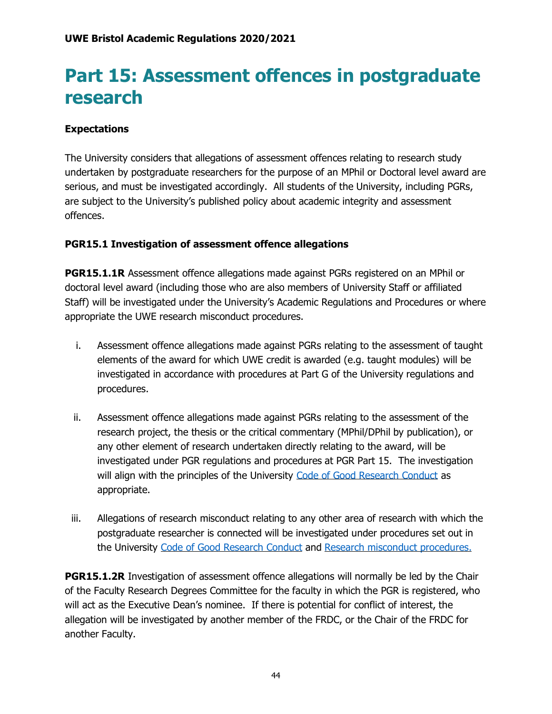# **Part 15: Assessment offences in postgraduate research**

# **Expectations**

The University considers that allegations of assessment offences relating to research study undertaken by postgraduate researchers for the purpose of an MPhil or Doctoral level award are serious, and must be investigated accordingly. All students of the University, including PGRs, are subject to the University's published policy about academic integrity and assessment offences.

# **PGR15.1 Investigation of assessment offence allegations**

**PGR15.1.1R** Assessment offence allegations made against PGRs registered on an MPhil or doctoral level award (including those who are also members of University Staff or affiliated Staff) will be investigated under the University's Academic Regulations and Procedures or where appropriate the UWE research misconduct procedures.

- i. Assessment offence allegations made against PGRs relating to the assessment of taught elements of the award for which UWE credit is awarded (e.g. taught modules) will be investigated in accordance with procedures at Part G of the University regulations and procedures.
- ii. Assessment offence allegations made against PGRs relating to the assessment of the research project, the thesis or the critical commentary (MPhil/DPhil by publication), or any other element of research undertaken directly relating to the award, will be investigated under PGR regulations and procedures at PGR Part 15. The investigation will align with the principles of the University [Code of Good Research Conduct](http://www1.uwe.ac.uk/research/researchgovernance/codeofgoodresearchconduct.aspx) as appropriate.
- iii. Allegations of research misconduct relating to any other area of research with which the postgraduate researcher is connected will be investigated under procedures set out in the University [Code of Good Research Conduct](http://www1.uwe.ac.uk/research/researchgovernance/codeofgoodresearchconduct.aspx) and [Research misconduct procedures.](http://www1.uwe.ac.uk/research/researchgovernance.aspx)

**PGR15.1.2R** Investigation of assessment offence allegations will normally be led by the Chair of the Faculty Research Degrees Committee for the faculty in which the PGR is registered, who will act as the Executive Dean's nominee. If there is potential for conflict of interest, the allegation will be investigated by another member of the FRDC, or the Chair of the FRDC for another Faculty.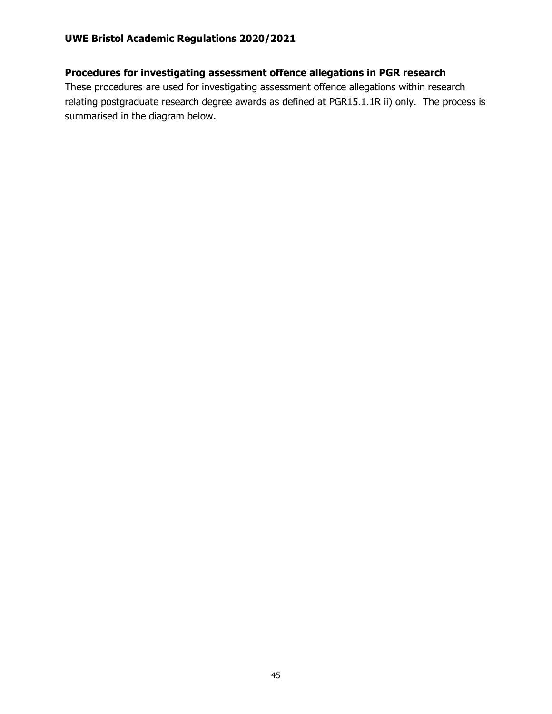# **Procedures for investigating assessment offence allegations in PGR research**

These procedures are used for investigating assessment offence allegations within research relating postgraduate research degree awards as defined at PGR15.1.1R ii) only. The process is summarised in the diagram below.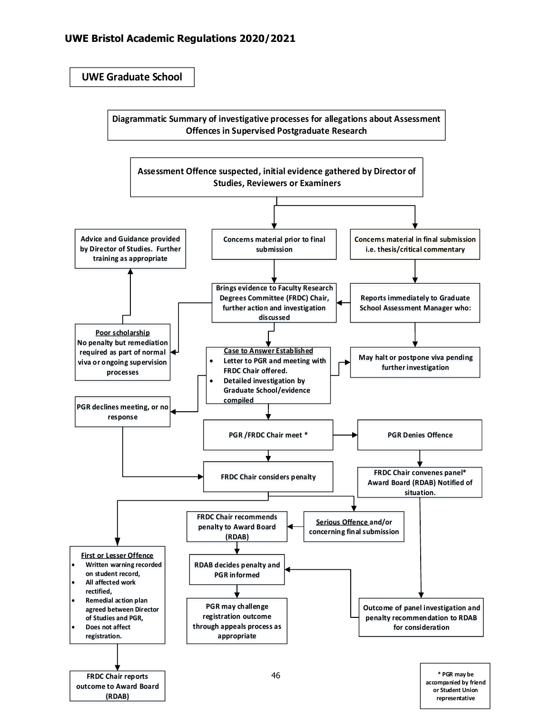**UWE Graduate School**

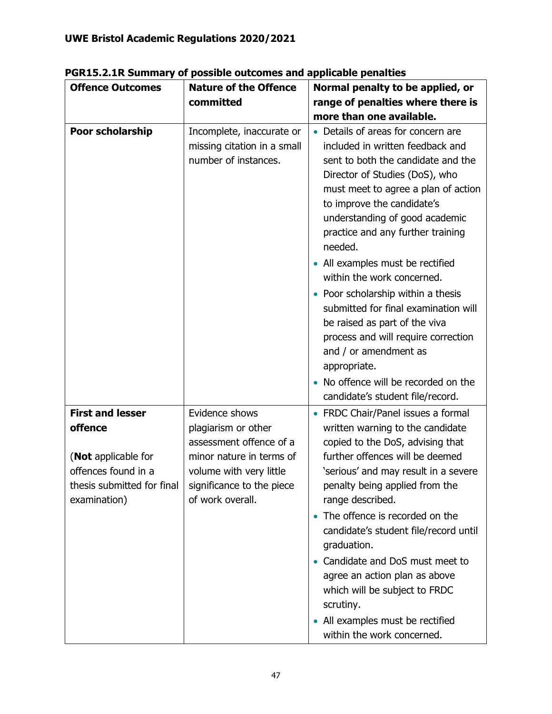| <b>Offence Outcomes</b>                                                                             | <b>Nature of the Offence</b>                                                                                                                           | Normal penalty to be applied, or                                                                                                                                                                                                                                                                      |
|-----------------------------------------------------------------------------------------------------|--------------------------------------------------------------------------------------------------------------------------------------------------------|-------------------------------------------------------------------------------------------------------------------------------------------------------------------------------------------------------------------------------------------------------------------------------------------------------|
|                                                                                                     | committed                                                                                                                                              | range of penalties where there is                                                                                                                                                                                                                                                                     |
|                                                                                                     |                                                                                                                                                        | more than one available.                                                                                                                                                                                                                                                                              |
| <b>Poor scholarship</b>                                                                             | Incomplete, inaccurate or<br>missing citation in a small<br>number of instances.                                                                       | • Details of areas for concern are<br>included in written feedback and<br>sent to both the candidate and the<br>Director of Studies (DoS), who<br>must meet to agree a plan of action<br>to improve the candidate's<br>understanding of good academic<br>practice and any further training<br>needed. |
|                                                                                                     |                                                                                                                                                        | • All examples must be rectified<br>within the work concerned.                                                                                                                                                                                                                                        |
|                                                                                                     |                                                                                                                                                        | • Poor scholarship within a thesis<br>submitted for final examination will<br>be raised as part of the viva<br>process and will require correction<br>and / or amendment as<br>appropriate.                                                                                                           |
|                                                                                                     |                                                                                                                                                        | No offence will be recorded on the<br>candidate's student file/record.                                                                                                                                                                                                                                |
| <b>First and lesser</b>                                                                             | Evidence shows                                                                                                                                         | FRDC Chair/Panel issues a formal                                                                                                                                                                                                                                                                      |
| offence<br>(Not applicable for<br>offences found in a<br>thesis submitted for final<br>examination) | plagiarism or other<br>assessment offence of a<br>minor nature in terms of<br>volume with very little<br>significance to the piece<br>of work overall. | written warning to the candidate<br>copied to the DoS, advising that<br>further offences will be deemed<br>'serious' and may result in a severe<br>penalty being applied from the<br>range described.                                                                                                 |
|                                                                                                     |                                                                                                                                                        | • The offence is recorded on the<br>candidate's student file/record until<br>graduation.<br>Candidate and DoS must meet to<br>agree an action plan as above<br>which will be subject to FRDC<br>scrutiny.                                                                                             |
|                                                                                                     |                                                                                                                                                        | • All examples must be rectified<br>within the work concerned.                                                                                                                                                                                                                                        |

**PGR15.2.1R Summary of possible outcomes and applicable penalties**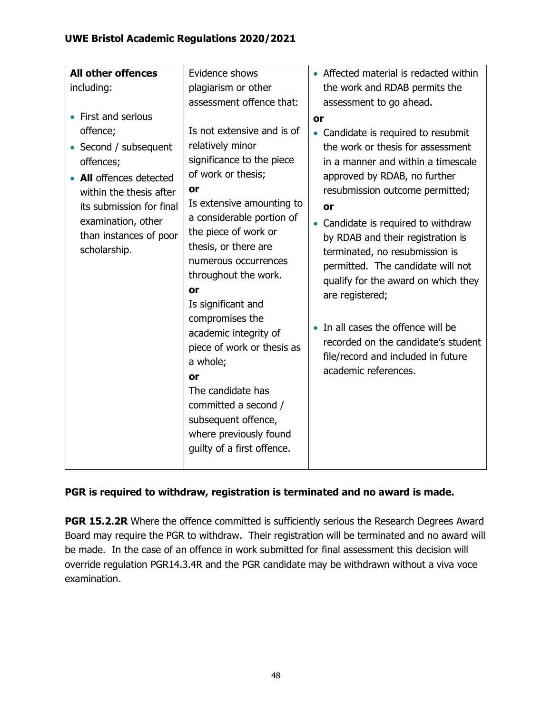| including:<br>plagiarism or other                                                                                                                                                                                                                                                                                                                                                                                                                                                                                                                                                                                                                                                                                                          | the work and RDAB permits the<br>assessment to go ahead.                                                                                                                                                                                                                                                                                                                                                                                                                                                                                    |
|--------------------------------------------------------------------------------------------------------------------------------------------------------------------------------------------------------------------------------------------------------------------------------------------------------------------------------------------------------------------------------------------------------------------------------------------------------------------------------------------------------------------------------------------------------------------------------------------------------------------------------------------------------------------------------------------------------------------------------------------|---------------------------------------------------------------------------------------------------------------------------------------------------------------------------------------------------------------------------------------------------------------------------------------------------------------------------------------------------------------------------------------------------------------------------------------------------------------------------------------------------------------------------------------------|
|                                                                                                                                                                                                                                                                                                                                                                                                                                                                                                                                                                                                                                                                                                                                            |                                                                                                                                                                                                                                                                                                                                                                                                                                                                                                                                             |
| assessment offence that:                                                                                                                                                                                                                                                                                                                                                                                                                                                                                                                                                                                                                                                                                                                   |                                                                                                                                                                                                                                                                                                                                                                                                                                                                                                                                             |
| First and serious                                                                                                                                                                                                                                                                                                                                                                                                                                                                                                                                                                                                                                                                                                                          | or                                                                                                                                                                                                                                                                                                                                                                                                                                                                                                                                          |
| Is not extensive and is of<br>offence;<br>relatively minor<br>Second / subsequent<br>significance to the piece<br>offences;<br>of work or thesis;<br><b>All</b> offences detected<br>or<br>within the thesis after<br>Is extensive amounting to<br>its submission for final<br>a considerable portion of<br>examination, other<br>the piece of work or<br>than instances of poor<br>thesis, or there are<br>scholarship.<br>numerous occurrences<br>throughout the work.<br><b>or</b><br>Is significant and<br>compromises the<br>academic integrity of<br>piece of work or thesis as<br>a whole;<br><b>or</b><br>The candidate has<br>committed a second /<br>subsequent offence,<br>where previously found<br>guilty of a first offence. | • Candidate is required to resubmit<br>the work or thesis for assessment<br>in a manner and within a timescale<br>approved by RDAB, no further<br>resubmission outcome permitted;<br>or<br>Candidate is required to withdraw<br>by RDAB and their registration is<br>terminated, no resubmission is<br>permitted. The candidate will not<br>qualify for the award on which they<br>are registered;<br>In all cases the offence will be<br>recorded on the candidate's student<br>file/record and included in future<br>academic references. |

# **PGR is required to withdraw, registration is terminated and no award is made.**

**PGR 15.2.2R** Where the offence committed is sufficiently serious the Research Degrees Award Board may require the PGR to withdraw. Their registration will be terminated and no award will be made. In the case of an offence in work submitted for final assessment this decision will override regulation PGR14.3.4R and the PGR candidate may be withdrawn without a viva voce examination.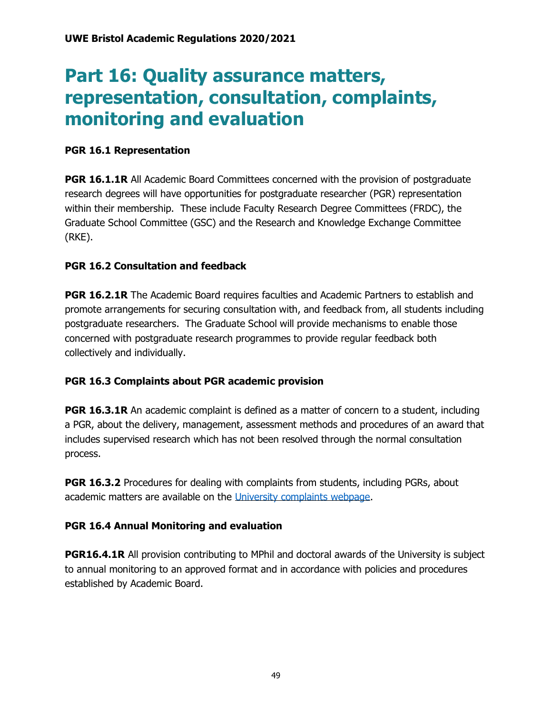# **Part 16: Quality assurance matters, representation, consultation, complaints, monitoring and evaluation**

### **PGR 16.1 Representation**

**PGR 16.1.1R** All Academic Board Committees concerned with the provision of postgraduate research degrees will have opportunities for postgraduate researcher (PGR) representation within their membership. These include Faculty Research Degree Committees (FRDC), the Graduate School Committee (GSC) and the Research and Knowledge Exchange Committee (RKE).

### **PGR 16.2 Consultation and feedback**

**PGR 16.2.1R** The Academic Board requires faculties and Academic Partners to establish and promote arrangements for securing consultation with, and feedback from, all students including postgraduate researchers. The Graduate School will provide mechanisms to enable those concerned with postgraduate research programmes to provide regular feedback both collectively and individually.

# **PGR 16.3 Complaints about PGR academic provision**

**PGR 16.3.1R** An academic complaint is defined as a matter of concern to a student, including a PGR, about the delivery, management, assessment methods and procedures of an award that includes supervised research which has not been resolved through the normal consultation process.

**PGR 16.3.2** Procedures for dealing with complaints from students, including PGRs, about academic matters are available on the [University complaints webpage.](http://www1.uwe.ac.uk/about/contactus/complaints.aspx)

### **PGR 16.4 Annual Monitoring and evaluation**

**PGR16.4.1R** All provision contributing to MPhil and doctoral awards of the University is subject to annual monitoring to an approved format and in accordance with policies and procedures established by Academic Board.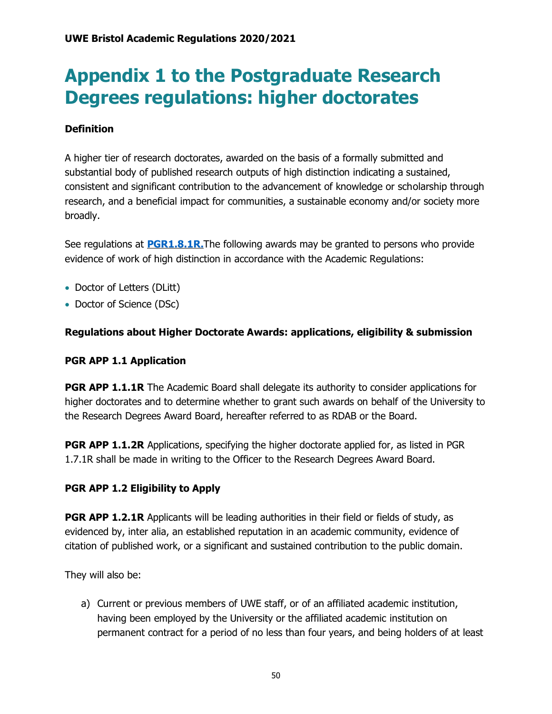# **Appendix 1 to the Postgraduate Research Degrees regulations: higher doctorates**

# **Definition**

A higher tier of research doctorates, awarded on the basis of a formally submitted and substantial body of published research outputs of high distinction indicating a sustained, consistent and significant contribution to the advancement of knowledge or scholarship through research, and a beneficial impact for communities, a sustainable economy and/or society more broadly.

See regulations at **[PGR1.8.1R.](https://www1.uwe.ac.uk/research/postgraduateresearchstudy/currentpgresearchers/graduateschoolhandbook/part1-degreeawards.aspx)**The following awards may be granted to persons who provide evidence of work of high distinction in accordance with the Academic Regulations:

- Doctor of Letters (DLitt)
- Doctor of Science (DSc)

### **Regulations about Higher Doctorate Awards: applications, eligibility & submission**

### **PGR APP 1.1 Application**

**PGR APP 1.1.1R** The Academic Board shall delegate its authority to consider applications for higher doctorates and to determine whether to grant such awards on behalf of the University to the Research Degrees Award Board, hereafter referred to as RDAB or the Board.

**PGR APP 1.1.2R** Applications, specifying the higher doctorate applied for, as listed in PGR 1.7.1R shall be made in writing to the Officer to the Research Degrees Award Board.

### **PGR APP 1.2 Eligibility to Apply**

**PGR APP 1.2.1R** Applicants will be leading authorities in their field or fields of study, as evidenced by, inter alia, an established reputation in an academic community, evidence of citation of published work, or a significant and sustained contribution to the public domain.

They will also be:

a) Current or previous members of UWE staff, or of an affiliated academic institution, having been employed by the University or the affiliated academic institution on permanent contract for a period of no less than four years, and being holders of at least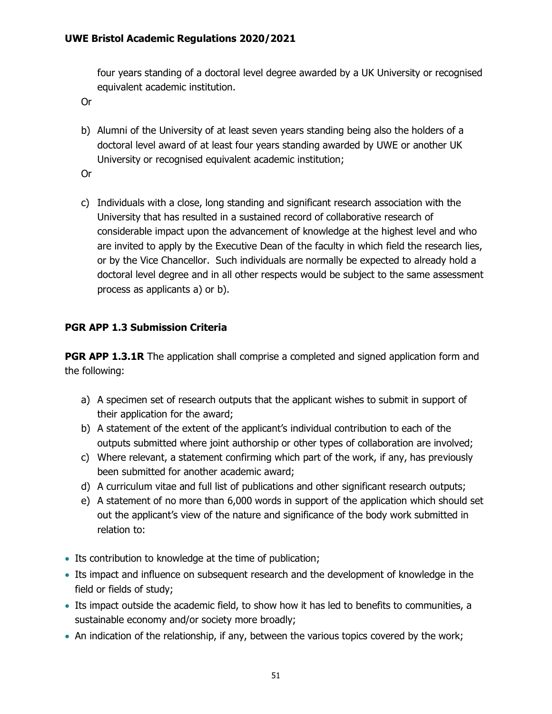four years standing of a doctoral level degree awarded by a UK University or recognised equivalent academic institution.

Or

b) Alumni of the University of at least seven years standing being also the holders of a doctoral level award of at least four years standing awarded by UWE or another UK University or recognised equivalent academic institution;

Or

c) Individuals with a close, long standing and significant research association with the University that has resulted in a sustained record of collaborative research of considerable impact upon the advancement of knowledge at the highest level and who are invited to apply by the Executive Dean of the faculty in which field the research lies, or by the Vice Chancellor. Such individuals are normally be expected to already hold a doctoral level degree and in all other respects would be subject to the same assessment process as applicants a) or b).

# **PGR APP 1.3 Submission Criteria**

**PGR APP 1.3.1R** The application shall comprise a completed and signed application form and the following:

- a) A specimen set of research outputs that the applicant wishes to submit in support of their application for the award;
- b) A statement of the extent of the applicant's individual contribution to each of the outputs submitted where joint authorship or other types of collaboration are involved;
- c) Where relevant, a statement confirming which part of the work, if any, has previously been submitted for another academic award;
- d) A curriculum vitae and full list of publications and other significant research outputs;
- e) A statement of no more than 6,000 words in support of the application which should set out the applicant's view of the nature and significance of the body work submitted in relation to:
- Its contribution to knowledge at the time of publication;
- Its impact and influence on subsequent research and the development of knowledge in the field or fields of study;
- Its impact outside the academic field, to show how it has led to benefits to communities, a sustainable economy and/or society more broadly;
- An indication of the relationship, if any, between the various topics covered by the work;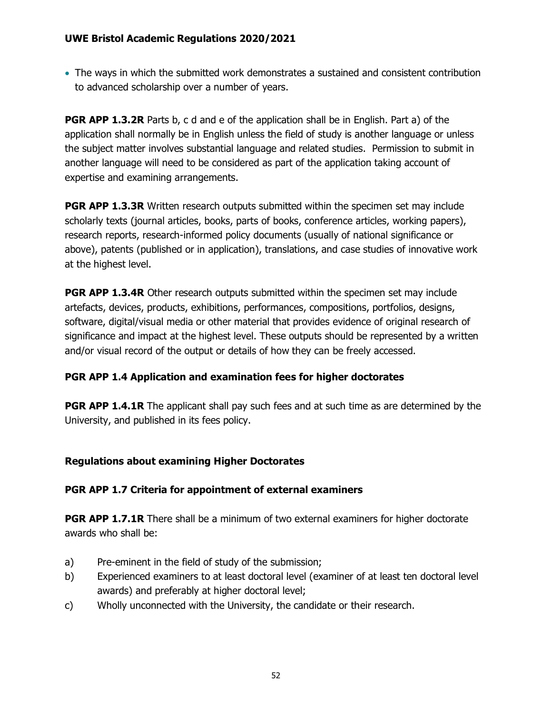• The ways in which the submitted work demonstrates a sustained and consistent contribution to advanced scholarship over a number of years.

**PGR APP 1.3.2R** Parts b, c d and e of the application shall be in English. Part a) of the application shall normally be in English unless the field of study is another language or unless the subject matter involves substantial language and related studies. Permission to submit in another language will need to be considered as part of the application taking account of expertise and examining arrangements.

**PGR APP 1.3.3R** Written research outputs submitted within the specimen set may include scholarly texts (journal articles, books, parts of books, conference articles, working papers), research reports, research-informed policy documents (usually of national significance or above), patents (published or in application), translations, and case studies of innovative work at the highest level.

**PGR APP 1.3.4R** Other research outputs submitted within the specimen set may include artefacts, devices, products, exhibitions, performances, compositions, portfolios, designs, software, digital/visual media or other material that provides evidence of original research of significance and impact at the highest level. These outputs should be represented by a written and/or visual record of the output or details of how they can be freely accessed.

# **PGR APP 1.4 Application and examination fees for higher doctorates**

**PGR APP 1.4.1R** The applicant shall pay such fees and at such time as are determined by the University, and published in its fees policy.

# **Regulations about examining Higher Doctorates**

# **PGR APP 1.7 Criteria for appointment of external examiners**

**PGR APP 1.7.1R** There shall be a minimum of two external examiners for higher doctorate awards who shall be:

- a) Pre-eminent in the field of study of the submission;
- b) Experienced examiners to at least doctoral level (examiner of at least ten doctoral level awards) and preferably at higher doctoral level;
- c) Wholly unconnected with the University, the candidate or their research.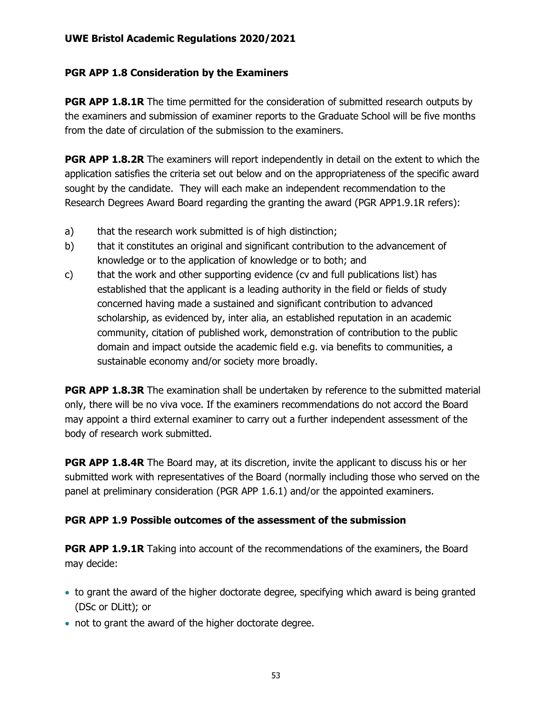### **PGR APP 1.8 Consideration by the Examiners**

**PGR APP 1.8.1R** The time permitted for the consideration of submitted research outputs by the examiners and submission of examiner reports to the Graduate School will be five months from the date of circulation of the submission to the examiners.

**PGR APP 1.8.2R** The examiners will report independently in detail on the extent to which the application satisfies the criteria set out below and on the appropriateness of the specific award sought by the candidate. They will each make an independent recommendation to the Research Degrees Award Board regarding the granting the award (PGR APP1.9.1R refers):

- a) that the research work submitted is of high distinction;
- b) that it constitutes an original and significant contribution to the advancement of knowledge or to the application of knowledge or to both; and
- c) that the work and other supporting evidence (cv and full publications list) has established that the applicant is a leading authority in the field or fields of study concerned having made a sustained and significant contribution to advanced scholarship, as evidenced by, inter alia, an established reputation in an academic community, citation of published work, demonstration of contribution to the public domain and impact outside the academic field e.g. via benefits to communities, a sustainable economy and/or society more broadly.

**PGR APP 1.8.3R** The examination shall be undertaken by reference to the submitted material only, there will be no viva voce. If the examiners recommendations do not accord the Board may appoint a third external examiner to carry out a further independent assessment of the body of research work submitted.

**PGR APP 1.8.4R** The Board may, at its discretion, invite the applicant to discuss his or her submitted work with representatives of the Board (normally including those who served on the panel at preliminary consideration (PGR APP 1.6.1) and/or the appointed examiners.

# **PGR APP 1.9 Possible outcomes of the assessment of the submission**

**PGR APP 1.9.1R** Taking into account of the recommendations of the examiners, the Board may decide:

- to grant the award of the higher doctorate degree, specifying which award is being granted (DSc or DLitt); or
- not to grant the award of the higher doctorate degree.